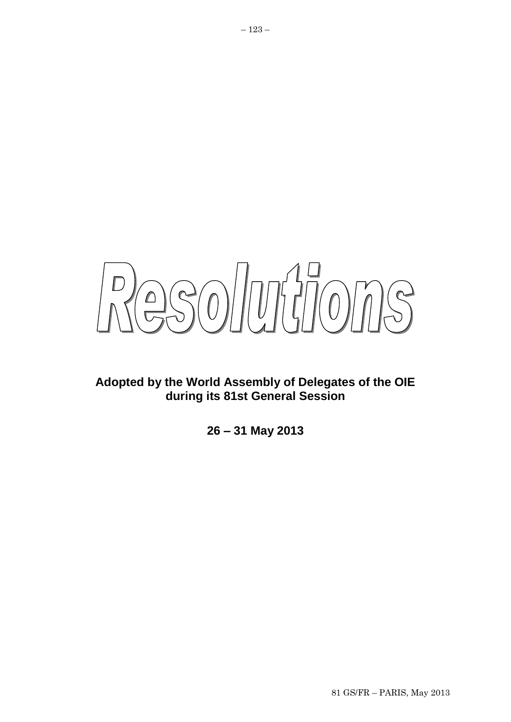

# **Adopted by the World Assembly of Delegates of the OIE during its 81st General Session**

**26 – 31 May 2013**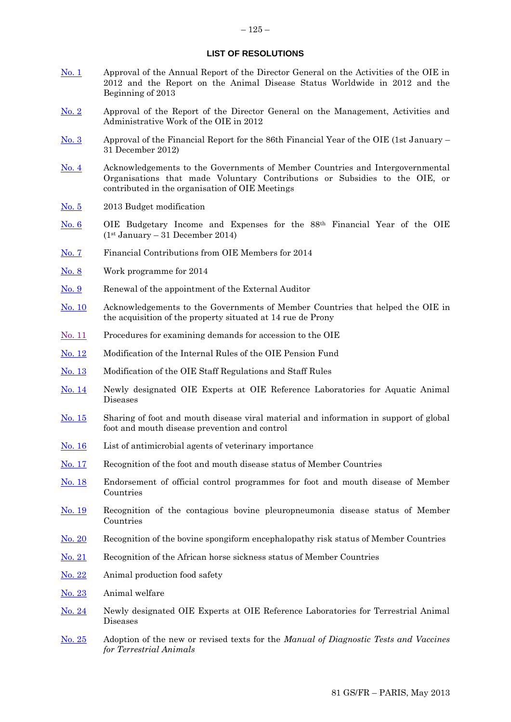# **LIST OF RESOLUTIONS**

- [No. 1](#page-4-0) Approval of the Annual Report of the Director General on the Activities of the OIE in 2012 and the Report on the Animal Disease Status Worldwide in 2012 and the Beginning of 2013
- [No. 2](#page-5-0) Approval of the Report of the Director General on the Management, Activities and Administrative Work of the OIE in 2012
- [No. 3](#page-6-0) Approval of the Financial Report for the 86th Financial Year of the OIE (1st January 31 December 2012)
- [No. 4](#page-7-0) Acknowledgements to the Governments of Member Countries and Intergovernmental Organisations that made Voluntary Contributions or Subsidies to the OIE, or contributed in the organisation of OIE Meetings
- [No. 5](#page-8-0) 2013 Budget modification
- [No. 6](#page-10-0) OIE Budgetary Income and Expenses for the 88th Financial Year of the OIE (1st January – 31 December 2014)
- [No. 7](#page-12-0) Financial Contributions from OIE Members for 2014
- [No. 8](#page-13-0) Work programme for 2014
- [No. 9](#page-14-0) Renewal of the appointment of the External Auditor
- [No. 10](#page-15-0) Acknowledgements to the Governments of Member Countries that helped the OIE in the acquisition of the property situated at 14 rue de Prony
- [No. 11](#page-16-0) Procedures for examining demands for accession to the OIE
- [No. 12](#page-17-0) Modification of the Internal Rules of the OIE Pension Fund
- [No.](#page-18-0) 13 Modification of the OIE Staff Regulations and Staff Rules
- [No. 14](#page-19-0) Newly designated OIE Experts at OIE Reference Laboratories for Aquatic Animal Diseases
- [No. 15](#page-20-0) Sharing of foot and mouth disease viral material and information in support of global foot and mouth disease prevention and control
- [No. 16](#page-22-0) List of antimicrobial agents of veterinary importance
- [No. 17](#page-23-0) Recognition of the foot and mouth disease status of Member Countries
- [No. 18](#page-26-0) Endorsement of official control programmes for foot and mouth disease of Member Countries
- [No. 19](#page-27-0) Recognition of the contagious bovine pleuropneumonia disease status of Member Countries
- [No. 20](#page-28-0) Recognition of the bovine spongiform encephalopathy risk status of Member Countries
- [No. 21](#page-30-0) Recognition of the African horse sickness status of Member Countries
- [No. 22](#page-31-0) Animal production food safety
- [No. 23](#page-33-0) Animal welfare
- [No. 24](#page-35-0) Newly designated OIE Experts at OIE Reference Laboratories for Terrestrial Animal Diseases
- [No. 25](#page-37-0) Adoption of the new or revised texts for the *Manual of Diagnostic Tests and Vaccines for Terrestrial Animals*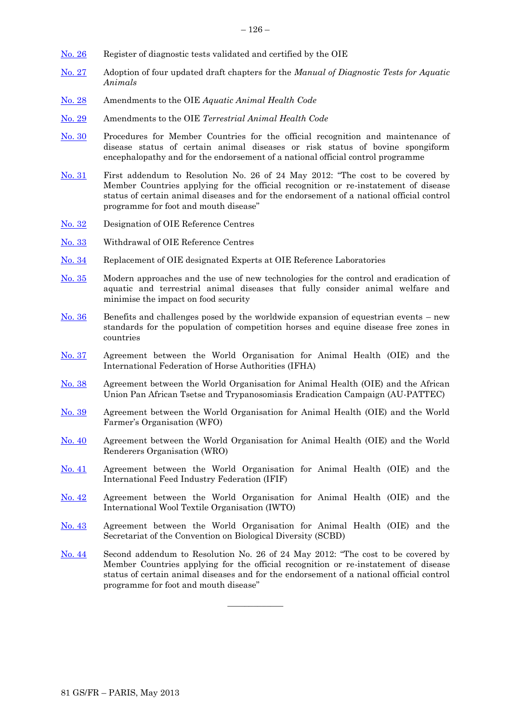- [No. 26](#page-38-0) Register of diagnostic tests validated and certified by the OIE
- [No. 27](#page-40-0) Adoption of four updated draft chapters for the *Manual of Diagnostic Tests for Aquatic Animals*
- [No. 28](#page-41-0) Amendments to the OIE *Aquatic Animal Health Code*
- [No. 29](#page-42-0) Amendments to the OIE *Terrestrial Animal Health Code*
- [No. 30](#page-45-0) Procedures for Member Countries for the official recognition and maintenance of disease status of certain animal diseases or risk status of bovine spongiform encephalopathy and for the endorsement of a national official control programme
- [No. 31](#page-49-0) First addendum to Resolution No. 26 of 24 May 2012: "The cost to be covered by Member Countries applying for the official recognition or re-instatement of disease status of certain animal diseases and for the endorsement of a national official control programme for foot and mouth disease"
- [No. 32](#page-50-0) Designation of OIE Reference Centres
- [No. 33](#page-52-0) Withdrawal of OIE Reference Centres
- [No. 34](#page-54-0) Replacement of OIE designated Experts at OIE Reference Laboratories
- [No. 35](#page-55-0) Modern approaches and the use of new technologies for the control and eradication of aquatic and terrestrial animal diseases that fully consider animal welfare and minimise the impact on food security
- [No. 36](#page-57-0) Benefits and challenges posed by the worldwide expansion of equestrian events new standards for the population of competition horses and equine disease free zones in countries
- [No. 37](#page-59-0) Agreement between the World Organisation for Animal Health (OIE) and the International Federation of Horse Authorities (IFHA)
- [No. 38](#page-60-0) Agreement between the World Organisation for Animal Health (OIE) and the African Union Pan African Tsetse and Trypanosomiasis Eradication Campaign (AU-PATTEC)
- [No. 39](#page-61-0) Agreement between the World Organisation for Animal Health (OIE) and the World Farmer's Organisation (WFO)
- [No. 40](#page-62-0) Agreement between the World Organisation for Animal Health (OIE) and the World Renderers Organisation (WRO)
- [No. 41](#page-63-0) Agreement between the World Organisation for Animal Health (OIE) and the International Feed Industry Federation (IFIF)
- [No. 42](#page-64-0) Agreement between the World Organisation for Animal Health (OIE) and the International Wool Textile Organisation (IWTO)
- [No. 43](#page-65-0) Agreement between the World Organisation for Animal Health (OIE) and the Secretariat of the Convention on Biological Diversity (SCBD)
- [No. 44](#page-66-0) Second addendum to Resolution No. 26 of 24 May 2012: "The cost to be covered by Member Countries applying for the official recognition or re-instatement of disease status of certain animal diseases and for the endorsement of a national official control programme for foot and mouth disease"

 $\overline{\phantom{a}}$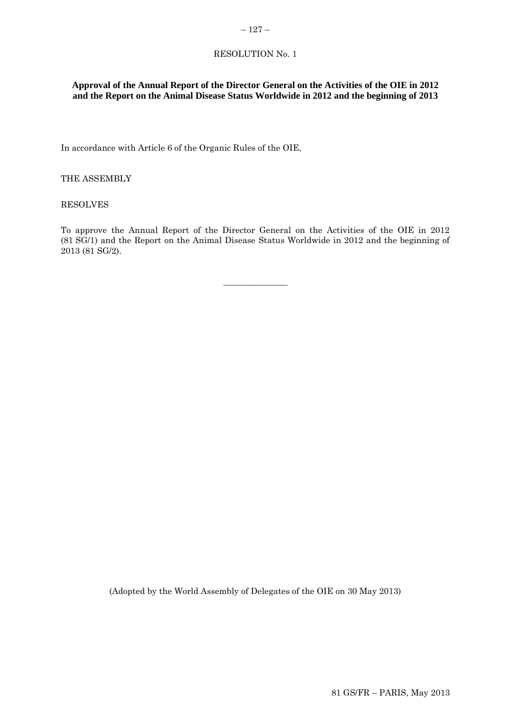# <span id="page-4-0"></span>RESOLUTION No. 1

# **Approval of the Annual Report of the Director General on the Activities of the OIE in 2012 and the Report on the Animal Disease Status Worldwide in 2012 and the beginning of 2013**

In accordance with Article 6 of the Organic Rules of the OIE,

THE ASSEMBLY

RESOLVES

To approve the Annual Report of the Director General on the Activities of the OIE in 2012 (81 SG/1) and the Report on the Animal Disease Status Worldwide in 2012 and the beginning of 2013 (81 SG/2).

 $\overline{\phantom{a}}$  , where  $\overline{\phantom{a}}$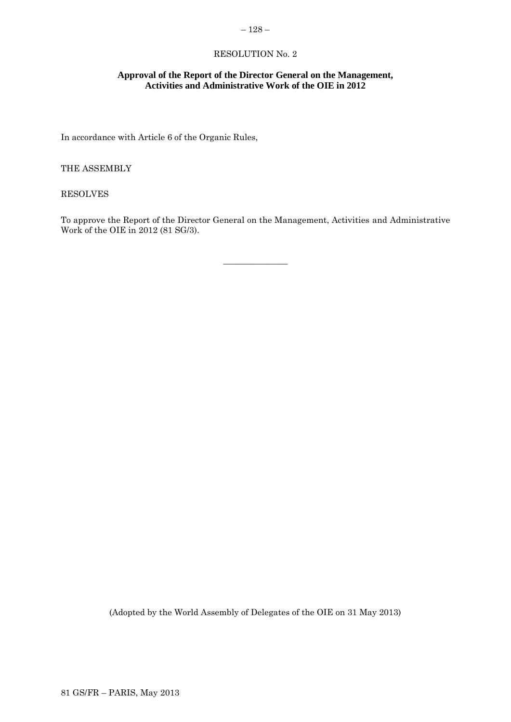# <span id="page-5-0"></span> $-128-$

# RESOLUTION No. 2

# **Approval of the Report of the Director General on the Management, Activities and Administrative Work of the OIE in 2012**

In accordance with Article 6 of the Organic Rules,

THE ASSEMBLY

RESOLVES

To approve the Report of the Director General on the Management, Activities and Administrative Work of the OIE in 2012 (81 SG/3).

\_\_\_\_\_\_\_\_\_\_\_\_\_\_\_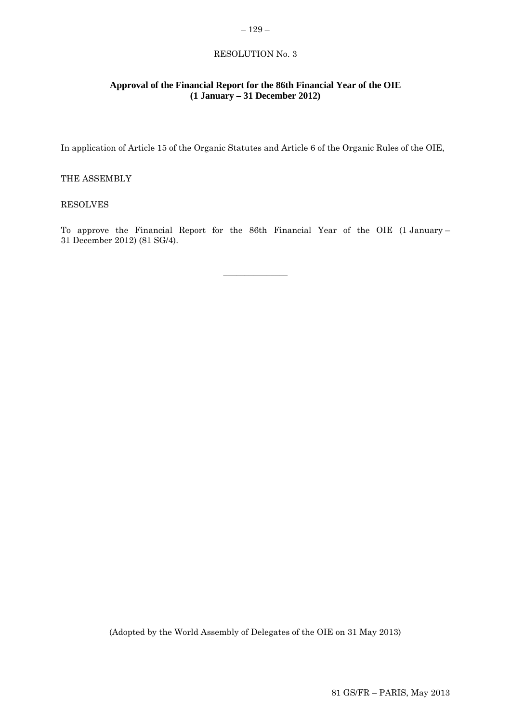# RESOLUTION No. 3

<span id="page-6-0"></span>– 129 –

# **Approval of the Financial Report for the 86th Financial Year of the OIE (1 January – 31 December 2012)**

In application of Article 15 of the Organic Statutes and Article 6 of the Organic Rules of the OIE,

# THE ASSEMBLY

# RESOLVES

To approve the Financial Report for the 86th Financial Year of the OIE (1 January – 31 December 2012) (81 SG/4).

 $\overline{\phantom{a}}$  , where  $\overline{\phantom{a}}$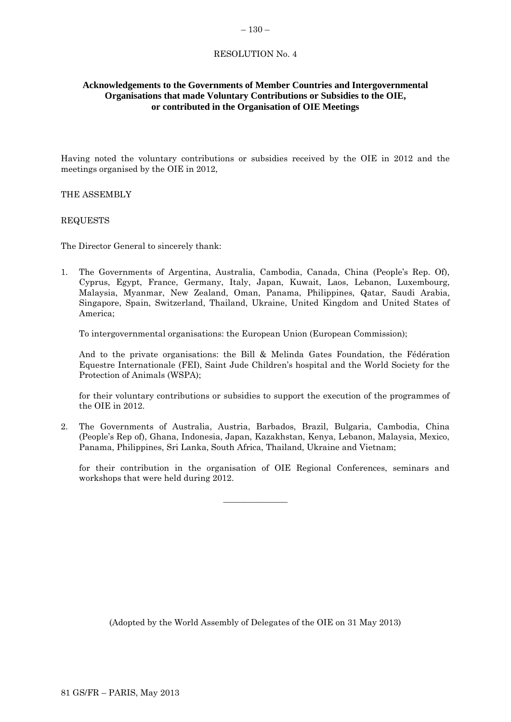#### <span id="page-7-0"></span> $-130-$

# RESOLUTION No. 4

# **Acknowledgements to the Governments of Member Countries and Intergovernmental Organisations that made Voluntary Contributions or Subsidies to the OIE, or contributed in the Organisation of OIE Meetings**

Having noted the voluntary contributions or subsidies received by the OIE in 2012 and the meetings organised by the OIE in 2012,

# THE ASSEMBLY

# REQUESTS

The Director General to sincerely thank:

1. The Governments of Argentina, Australia, Cambodia, Canada, China (People's Rep. Of), Cyprus, Egypt, France, Germany, Italy, Japan, Kuwait, Laos, Lebanon, Luxembourg, Malaysia, Myanmar, New Zealand, Oman, Panama, Philippines, Qatar, Saudi Arabia, Singapore, Spain, Switzerland, Thailand, Ukraine, United Kingdom and United States of America;

To intergovernmental organisations: the European Union (European Commission);

And to the private organisations: the Bill & Melinda Gates Foundation, the Fédération Equestre Internationale (FEI), Saint Jude Children's hospital and the World Society for the Protection of Animals (WSPA);

for their voluntary contributions or subsidies to support the execution of the programmes of the OIE in 2012.

2. The Governments of Australia, Austria, Barbados, Brazil, Bulgaria, Cambodia, China (People's Rep of), Ghana, Indonesia, Japan, Kazakhstan, Kenya, Lebanon, Malaysia, Mexico, Panama, Philippines, Sri Lanka, South Africa, Thailand, Ukraine and Vietnam;

 $\overline{\phantom{a}}$  , where  $\overline{\phantom{a}}$ 

for their contribution in the organisation of OIE Regional Conferences, seminars and workshops that were held during 2012.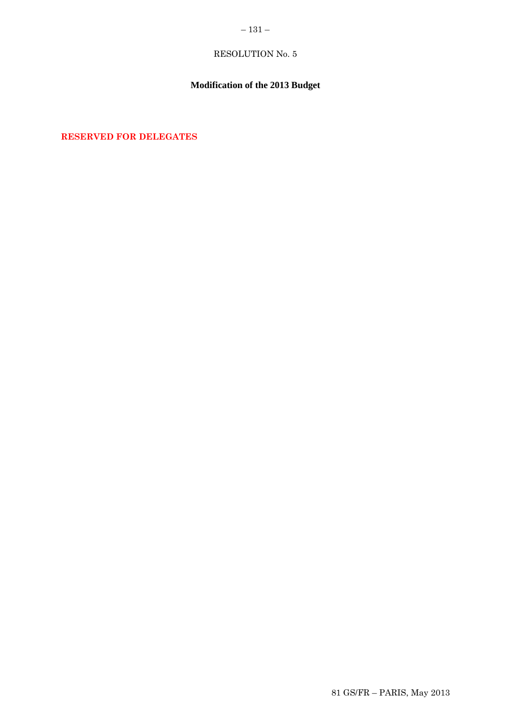# <span id="page-8-0"></span> $-131-$

# RESOLUTION No. 5

# **Modification of the 2013 Budget**

**RESERVED FOR DELEGATES**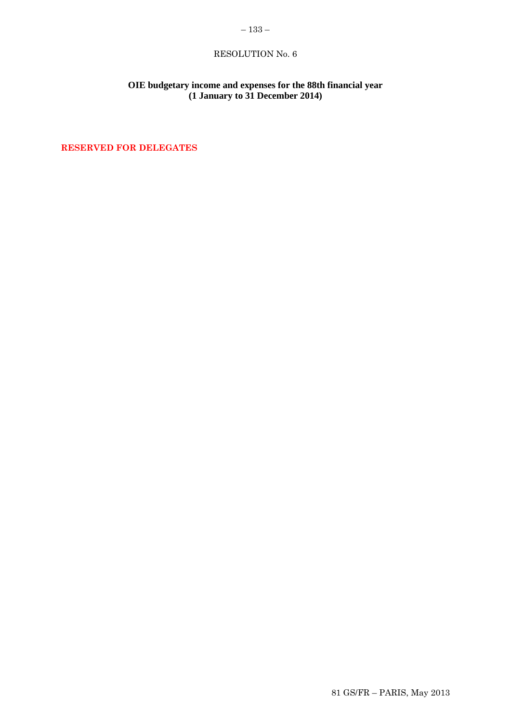# <span id="page-10-0"></span>– 133 –

# RESOLUTION No. 6

# **OIE budgetary income and expenses for the 88th financial year (1 January to 31 December 2014)**

**RESERVED FOR DELEGATES**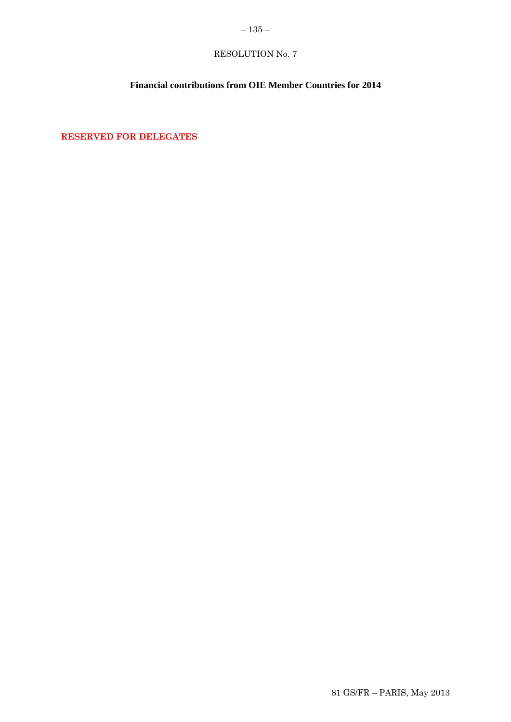# <span id="page-12-0"></span>RESOLUTION No. 7

# **Financial contributions from OIE Member Countries for 2014**

**RESERVED FOR DELEGATES**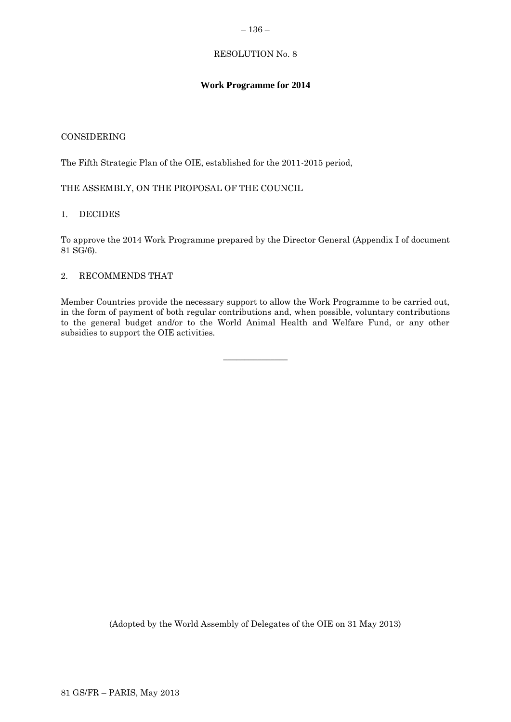### <span id="page-13-0"></span>– 136 –

# RESOLUTION No. 8

# **Work Programme for 2014**

# CONSIDERING

The Fifth Strategic Plan of the OIE, established for the 2011-2015 period,

THE ASSEMBLY, ON THE PROPOSAL OF THE COUNCIL

# 1. DECIDES

To approve the 2014 Work Programme prepared by the Director General (Appendix I of document 81 SG/6).

# 2. RECOMMENDS THAT

Member Countries provide the necessary support to allow the Work Programme to be carried out, in the form of payment of both regular contributions and, when possible, voluntary contributions to the general budget and/or to the World Animal Health and Welfare Fund, or any other subsidies to support the OIE activities.

 $\overline{\phantom{a}}$  , where  $\overline{\phantom{a}}$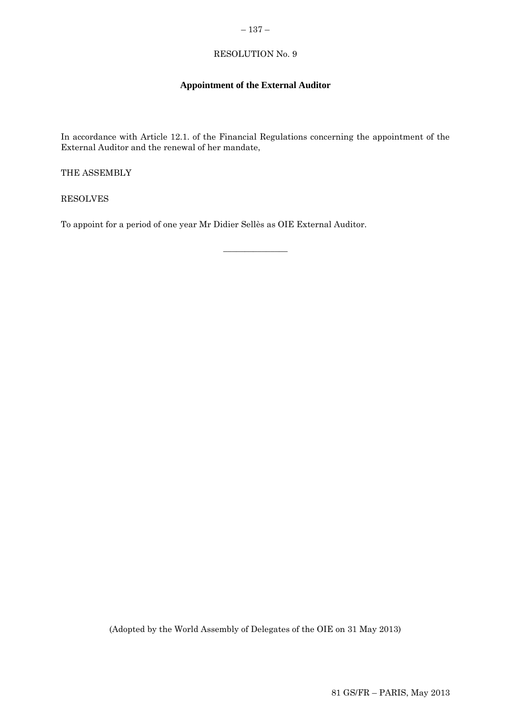# <span id="page-14-0"></span> $-137-$

# RESOLUTION No. 9

# **Appointment of the External Auditor**

In accordance with Article 12.1. of the Financial Regulations concerning the appointment of the External Auditor and the renewal of her mandate,

 $\overline{\phantom{a}}$  , where  $\overline{\phantom{a}}$ 

THE ASSEMBLY

RESOLVES

To appoint for a period of one year Mr Didier Sellès as OIE External Auditor.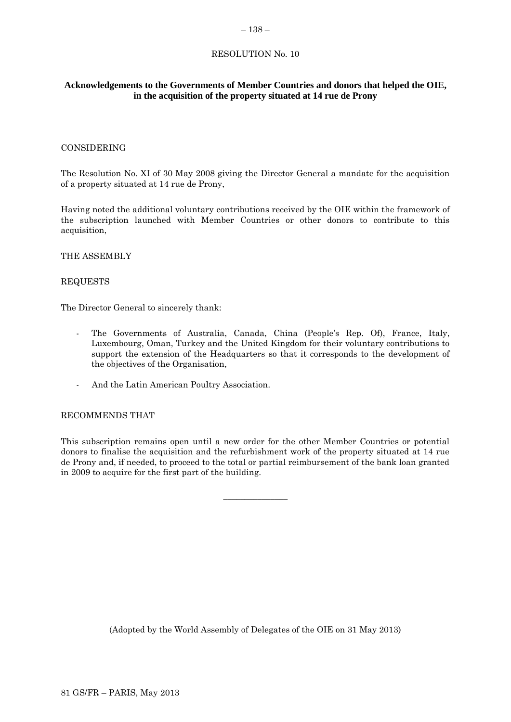#### <span id="page-15-0"></span> $-138-$

# RESOLUTION No. 10

# **Acknowledgements to the Governments of Member Countries and donors that helped the OIE, in the acquisition of the property situated at 14 rue de Prony**

# CONSIDERING

The Resolution No. XI of 30 May 2008 giving the Director General a mandate for the acquisition of a property situated at 14 rue de Prony,

Having noted the additional voluntary contributions received by the OIE within the framework of the subscription launched with Member Countries or other donors to contribute to this acquisition,

# THE ASSEMBLY

# REQUESTS

The Director General to sincerely thank:

- The Governments of Australia, Canada, China (People's Rep. Of), France, Italy, Luxembourg, Oman, Turkey and the United Kingdom for their voluntary contributions to support the extension of the Headquarters so that it corresponds to the development of the objectives of the Organisation,
- And the Latin American Poultry Association.

### RECOMMENDS THAT

This subscription remains open until a new order for the other Member Countries or potential donors to finalise the acquisition and the refurbishment work of the property situated at 14 rue de Prony and, if needed, to proceed to the total or partial reimbursement of the bank loan granted in 2009 to acquire for the first part of the building.

 $\overline{\phantom{a}}$  , where  $\overline{\phantom{a}}$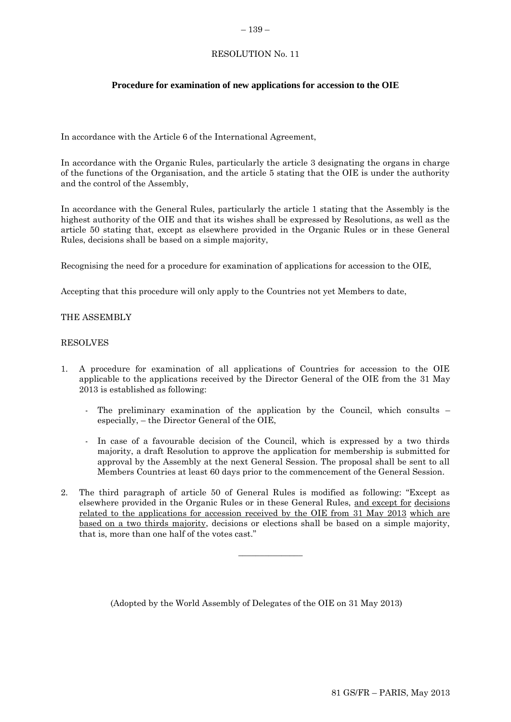#### <span id="page-16-0"></span>– 139 –

# RESOLUTION No. 11

# **Procedure for examination of new applications for accession to the OIE**

In accordance with the Article 6 of the International Agreement,

In accordance with the Organic Rules, particularly the article 3 designating the organs in charge of the functions of the Organisation, and the article 5 stating that the OIE is under the authority and the control of the Assembly,

In accordance with the General Rules, particularly the article 1 stating that the Assembly is the highest authority of the OIE and that its wishes shall be expressed by Resolutions, as well as the article 50 stating that, except as elsewhere provided in the Organic Rules or in these General Rules, decisions shall be based on a simple majority,

Recognising the need for a procedure for examination of applications for accession to the OIE,

Accepting that this procedure will only apply to the Countries not yet Members to date,

# THE ASSEMBLY

# RESOLVES

- 1. A procedure for examination of all applications of Countries for accession to the OIE applicable to the applications received by the Director General of the OIE from the 31 May 2013 is established as following:
	- The preliminary examination of the application by the Council, which consults especially, – the Director General of the OIE,
	- In case of a favourable decision of the Council, which is expressed by a two thirds majority, a draft Resolution to approve the application for membership is submitted for approval by the Assembly at the next General Session. The proposal shall be sent to all Members Countries at least 60 days prior to the commencement of the General Session.

 $\overline{\phantom{a}}$  , where  $\overline{\phantom{a}}$ 

2. The third paragraph of article 50 of General Rules is modified as following: "Except as elsewhere provided in the Organic Rules or in these General Rules, and except for decisions related to the applications for accession received by the OIE from 31 May 2013 which are based on a two thirds majority, decisions or elections shall be based on a simple majority, that is, more than one half of the votes cast."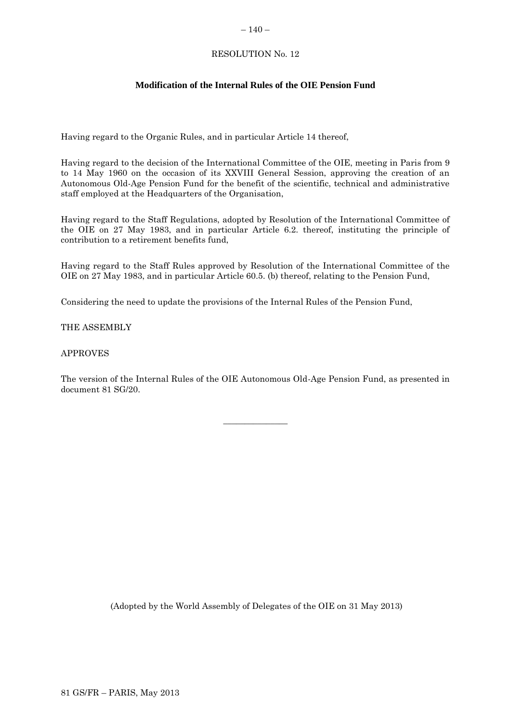### <span id="page-17-0"></span> $-140-$

# RESOLUTION No. 12

# **Modification of the Internal Rules of the OIE Pension Fund**

Having regard to the Organic Rules, and in particular Article 14 thereof,

Having regard to the decision of the International Committee of the OIE, meeting in Paris from 9 to 14 May 1960 on the occasion of its XXVIII General Session, approving the creation of an Autonomous Old-Age Pension Fund for the benefit of the scientific, technical and administrative staff employed at the Headquarters of the Organisation,

Having regard to the Staff Regulations, adopted by Resolution of the International Committee of the OIE on 27 May 1983, and in particular Article 6.2. thereof, instituting the principle of contribution to a retirement benefits fund,

Having regard to the Staff Rules approved by Resolution of the International Committee of the OIE on 27 May 1983, and in particular Article 60.5. (b) thereof, relating to the Pension Fund,

Considering the need to update the provisions of the Internal Rules of the Pension Fund,

# THE ASSEMBLY

# APPROVES

The version of the Internal Rules of the OIE Autonomous Old-Age Pension Fund, as presented in document 81 SG/20.

 $\overline{\phantom{a}}$  , where  $\overline{\phantom{a}}$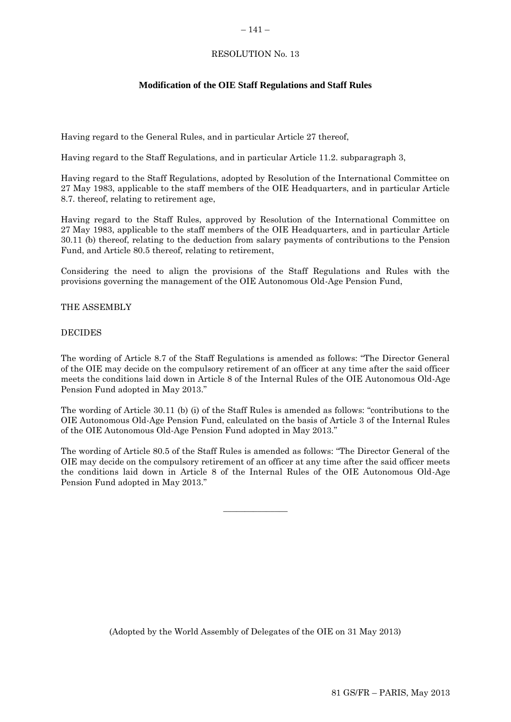## <span id="page-18-0"></span> $-141-$

# RESOLUTION No. 13

# **Modification of the OIE Staff Regulations and Staff Rules**

Having regard to the General Rules, and in particular Article 27 thereof,

Having regard to the Staff Regulations, and in particular Article 11.2. subparagraph 3,

Having regard to the Staff Regulations, adopted by Resolution of the International Committee on 27 May 1983, applicable to the staff members of the OIE Headquarters, and in particular Article 8.7. thereof, relating to retirement age,

Having regard to the Staff Rules, approved by Resolution of the International Committee on 27 May 1983, applicable to the staff members of the OIE Headquarters, and in particular Article 30.11 (b) thereof, relating to the deduction from salary payments of contributions to the Pension Fund, and Article 80.5 thereof, relating to retirement,

Considering the need to align the provisions of the Staff Regulations and Rules with the provisions governing the management of the OIE Autonomous Old-Age Pension Fund,

THE ASSEMBLY

### DECIDES

The wording of Article 8.7 of the Staff Regulations is amended as follows: "The Director General of the OIE may decide on the compulsory retirement of an officer at any time after the said officer meets the conditions laid down in Article 8 of the Internal Rules of the OIE Autonomous Old-Age Pension Fund adopted in May 2013."

The wording of Article 30.11 (b) (i) of the Staff Rules is amended as follows: "contributions to the OIE Autonomous Old-Age Pension Fund, calculated on the basis of Article 3 of the Internal Rules of the OIE Autonomous Old-Age Pension Fund adopted in May 2013."

The wording of Article 80.5 of the Staff Rules is amended as follows: "The Director General of the OIE may decide on the compulsory retirement of an officer at any time after the said officer meets the conditions laid down in Article 8 of the Internal Rules of the OIE Autonomous Old-Age Pension Fund adopted in May 2013."

 $\overline{\phantom{a}}$  , where  $\overline{\phantom{a}}$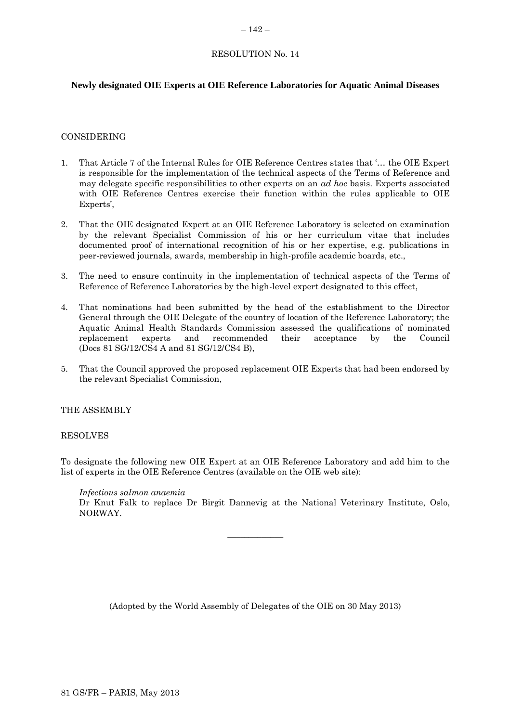# <span id="page-19-0"></span>RESOLUTION No. 14

# **Newly designated OIE Experts at OIE Reference Laboratories for Aquatic Animal Diseases**

### CONSIDERING

- 1. That Article 7 of the Internal Rules for OIE Reference Centres states that '… the OIE Expert is responsible for the implementation of the technical aspects of the Terms of Reference and may delegate specific responsibilities to other experts on an *ad hoc* basis. Experts associated with OIE Reference Centres exercise their function within the rules applicable to OIE Experts'.
- 2. That the OIE designated Expert at an OIE Reference Laboratory is selected on examination by the relevant Specialist Commission of his or her curriculum vitae that includes documented proof of international recognition of his or her expertise, e.g. publications in peer-reviewed journals, awards, membership in high-profile academic boards, etc.,
- 3. The need to ensure continuity in the implementation of technical aspects of the Terms of Reference of Reference Laboratories by the high-level expert designated to this effect,
- 4. That nominations had been submitted by the head of the establishment to the Director General through the OIE Delegate of the country of location of the Reference Laboratory; the Aquatic Animal Health Standards Commission assessed the qualifications of nominated replacement experts and recommended their acceptance by the Council (Docs 81 SG/12/CS4 A and 81 SG/12/CS4 B),
- 5. That the Council approved the proposed replacement OIE Experts that had been endorsed by the relevant Specialist Commission,

### THE ASSEMBLY

#### RESOLVES

To designate the following new OIE Expert at an OIE Reference Laboratory and add him to the list of experts in the OIE Reference Centres (available on the OIE web site):

 $\overline{\phantom{a}}$ 

*Infectious salmon anaemia* Dr Knut Falk to replace Dr Birgit Dannevig at the National Veterinary Institute, Oslo, NORWAY.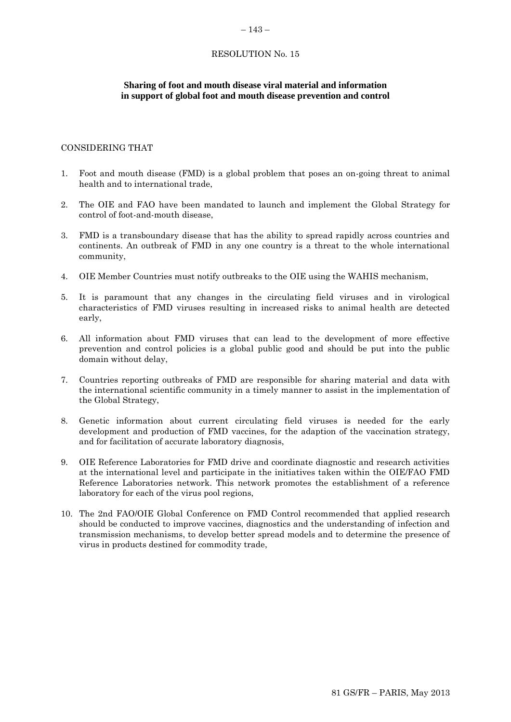#### <span id="page-20-0"></span>– 143 –

# RESOLUTION No. 15

# **Sharing of foot and mouth disease viral material and information in support of global foot and mouth disease prevention and control**

# CONSIDERING THAT

- 1. Foot and mouth disease (FMD) is a global problem that poses an on-going threat to animal health and to international trade,
- 2. The OIE and FAO have been mandated to launch and implement the Global Strategy for control of foot-and-mouth disease,
- 3. FMD is a transboundary disease that has the ability to spread rapidly across countries and continents. An outbreak of FMD in any one country is a threat to the whole international community,
- 4. OIE Member Countries must notify outbreaks to the OIE using the WAHIS mechanism,
- 5. It is paramount that any changes in the circulating field viruses and in virological characteristics of FMD viruses resulting in increased risks to animal health are detected early,
- 6. All information about FMD viruses that can lead to the development of more effective prevention and control policies is a global public good and should be put into the public domain without delay,
- 7. Countries reporting outbreaks of FMD are responsible for sharing material and data with the international scientific community in a timely manner to assist in the implementation of the Global Strategy,
- 8. Genetic information about current circulating field viruses is needed for the early development and production of FMD vaccines, for the adaption of the vaccination strategy, and for facilitation of accurate laboratory diagnosis,
- 9. OIE Reference Laboratories for FMD drive and coordinate diagnostic and research activities at the international level and participate in the initiatives taken within the OIE/FAO FMD Reference Laboratories network. This network promotes the establishment of a reference laboratory for each of the virus pool regions,
- 10. The 2nd FAO/OIE Global Conference on FMD Control recommended that applied research should be conducted to improve vaccines, diagnostics and the understanding of infection and transmission mechanisms, to develop better spread models and to determine the presence of virus in products destined for commodity trade,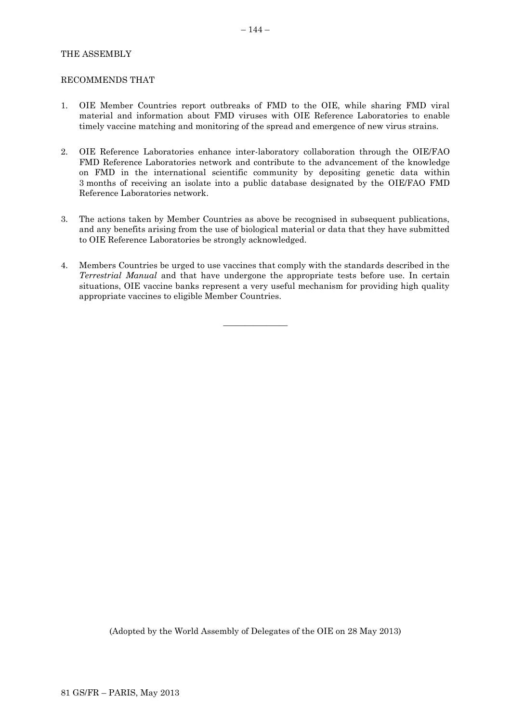# THE ASSEMBLY

#### RECOMMENDS THAT

- 1. OIE Member Countries report outbreaks of FMD to the OIE, while sharing FMD viral material and information about FMD viruses with OIE Reference Laboratories to enable timely vaccine matching and monitoring of the spread and emergence of new virus strains.
- 2. OIE Reference Laboratories enhance inter-laboratory collaboration through the OIE/FAO FMD Reference Laboratories network and contribute to the advancement of the knowledge on FMD in the international scientific community by depositing genetic data within 3 months of receiving an isolate into a public database designated by the OIE/FAO FMD Reference Laboratories network.
- 3. The actions taken by Member Countries as above be recognised in subsequent publications, and any benefits arising from the use of biological material or data that they have submitted to OIE Reference Laboratories be strongly acknowledged.
- 4. Members Countries be urged to use vaccines that comply with the standards described in the *Terrestrial Manual* and that have undergone the appropriate tests before use. In certain situations, OIE vaccine banks represent a very useful mechanism for providing high quality appropriate vaccines to eligible Member Countries.

 $\overline{\phantom{a}}$  , where  $\overline{\phantom{a}}$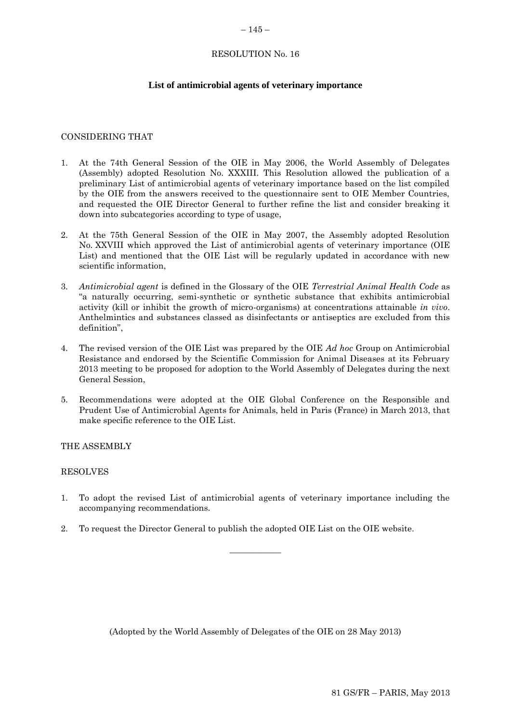#### <span id="page-22-0"></span> $-145-$

# RESOLUTION No. 16

# **List of antimicrobial agents of veterinary importance**

### CONSIDERING THAT

- 1. At the 74th General Session of the OIE in May 2006, the World Assembly of Delegates (Assembly) adopted Resolution No. XXXIII. This Resolution allowed the publication of a preliminary List of antimicrobial agents of veterinary importance based on the list compiled by the OIE from the answers received to the questionnaire sent to OIE Member Countries, and requested the OIE Director General to further refine the list and consider breaking it down into subcategories according to type of usage,
- 2. At the 75th General Session of the OIE in May 2007, the Assembly adopted Resolution No. XXVIII which approved the List of antimicrobial agents of veterinary importance (OIE List) and mentioned that the OIE List will be regularly updated in accordance with new scientific information,
- 3. *Antimicrobial agent* is defined in the Glossary of the OIE *Terrestrial Animal Health Code* as "a naturally occurring, semi-synthetic or synthetic substance that exhibits antimicrobial activity (kill or inhibit the growth of micro-organisms) at concentrations attainable *in vivo*. Anthelmintics and substances classed as disinfectants or antiseptics are excluded from this definition",
- 4. The revised version of the OIE List was prepared by the OIE *Ad hoc* Group on Antimicrobial Resistance and endorsed by the Scientific Commission for Animal Diseases at its February 2013 meeting to be proposed for adoption to the World Assembly of Delegates during the next General Session,
- 5. Recommendations were adopted at the OIE Global Conference on the Responsible and Prudent Use of Antimicrobial Agents for Animals, held in Paris (France) in March 2013, that make specific reference to the OIE List.

### THE ASSEMBLY

### RESOLVES

1. To adopt the revised List of antimicrobial agents of veterinary importance including the accompanying recommendations.

 $\overline{\phantom{a}}$ 

2. To request the Director General to publish the adopted OIE List on the OIE website.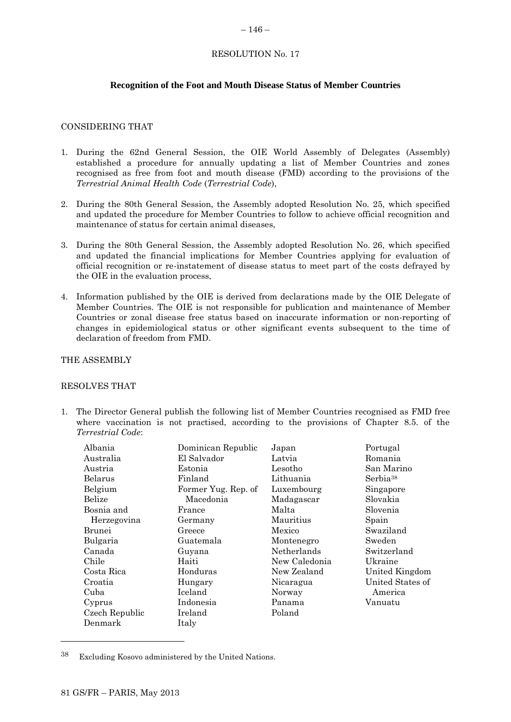#### <span id="page-23-0"></span> $-146-$

# RESOLUTION No. 17

# **Recognition of the Foot and Mouth Disease Status of Member Countries**

#### CONSIDERING THAT

- 1. During the 62nd General Session, the OIE World Assembly of Delegates (Assembly) established a procedure for annually updating a list of Member Countries and zones recognised as free from foot and mouth disease (FMD) according to the provisions of the *Terrestrial Animal Health Code* (*Terrestrial Code*),
- 2. During the 80th General Session, the Assembly adopted Resolution No. 25, which specified and updated the procedure for Member Countries to follow to achieve official recognition and maintenance of status for certain animal diseases,
- 3. During the 80th General Session, the Assembly adopted Resolution No. 26, which specified and updated the financial implications for Member Countries applying for evaluation of official recognition or re-instatement of disease status to meet part of the costs defrayed by the OIE in the evaluation process,
- 4. Information published by the OIE is derived from declarations made by the OIE Delegate of Member Countries. The OIE is not responsible for publication and maintenance of Member Countries or zonal disease free status based on inaccurate information or non-reporting of changes in epidemiological status or other significant events subsequent to the time of declaration of freedom from FMD.

#### THE ASSEMBLY

### RESOLVES THAT

1. The Director General publish the following list of Member Countries recognised as FMD free where vaccination is not practised, according to the provisions of Chapter 8.5. of the *Terrestrial Code*:

| Albania        | Dominican Republic  | Japan         | Portugal             |
|----------------|---------------------|---------------|----------------------|
| Australia      | El Salvador         | Latvia        | Romania              |
| Austria        | Estonia             | Lesotho       | San Marino           |
| Belarus        | Finland             | Lithuania     | Serbia <sup>38</sup> |
| Belgium        | Former Yug. Rep. of | Luxembourg    | Singapore            |
| Belize         | Macedonia           | Madagascar    | Slovakia             |
| Bosnia and     | France              | Malta         | Slovenia             |
| Herzegovina    | Germany             | Mauritius     | Spain                |
| Brunei         | Greece              | Mexico        | Swaziland            |
| Bulgaria       | Guatemala           | Montenegro    | Sweden               |
| Canada         | Guyana              | Netherlands   | Switzerland          |
| Chile          | Haiti               | New Caledonia | Ukraine              |
| Costa Rica     | Honduras            | New Zealand   | United Kingdom       |
| Croatia        | Hungary             | Nicaragua     | United States of     |
| Cuba           | Iceland             | Norway        | America              |
| Cyprus         | Indonesia           | Panama        | Vanuatu              |
| Czech Republic | Ireland             | Poland        |                      |
| Denmark        | Italy               |               |                      |

<sup>38</sup> Excluding Kosovo administered by the United Nations.

l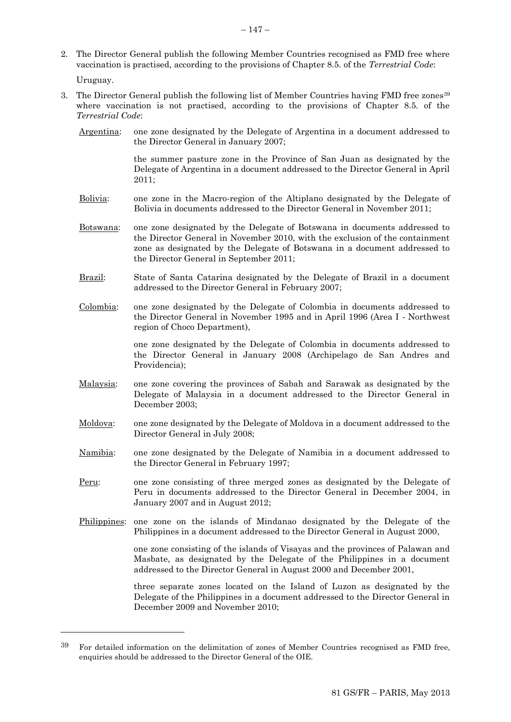2. The Director General publish the following Member Countries recognised as FMD free where vaccination is practised, according to the provisions of Chapter 8.5. of the *Terrestrial Code*:

Uruguay.

l

- 3. The Director General publish the following list of Member Countries having FMD free zones<sup>39</sup> where vaccination is not practised, according to the provisions of Chapter 8.5. of the *Terrestrial Code*:
	- Argentina: one zone designated by the Delegate of Argentina in a document addressed to the Director General in January 2007;

the summer pasture zone in the Province of San Juan as designated by the Delegate of Argentina in a document addressed to the Director General in April 2011;

- Bolivia: one zone in the Macro-region of the Altiplano designated by the Delegate of Bolivia in documents addressed to the Director General in November 2011;
- Botswana: one zone designated by the Delegate of Botswana in documents addressed to the Director General in November 2010, with the exclusion of the containment zone as designated by the Delegate of Botswana in a document addressed to the Director General in September 2011;
- Brazil: State of Santa Catarina designated by the Delegate of Brazil in a document addressed to the Director General in February 2007;
- Colombia: one zone designated by the Delegate of Colombia in documents addressed to the Director General in November 1995 and in April 1996 (Area I - Northwest region of Choco Department),

one zone designated by the Delegate of Colombia in documents addressed to the Director General in January 2008 (Archipelago de San Andres and Providencia);

- Malaysia: one zone covering the provinces of Sabah and Sarawak as designated by the Delegate of Malaysia in a document addressed to the Director General in December 2003;
- Moldova: one zone designated by the Delegate of Moldova in a document addressed to the Director General in July 2008;
- Namibia: one zone designated by the Delegate of Namibia in a document addressed to the Director General in February 1997;
- Peru: one zone consisting of three merged zones as designated by the Delegate of Peru in documents addressed to the Director General in December 2004, in January 2007 and in August 2012;
- Philippines: one zone on the islands of Mindanao designated by the Delegate of the Philippines in a document addressed to the Director General in August 2000,

one zone consisting of the islands of Visayas and the provinces of Palawan and Masbate, as designated by the Delegate of the Philippines in a document addressed to the Director General in August 2000 and December 2001,

three separate zones located on the Island of Luzon as designated by the Delegate of the Philippines in a document addressed to the Director General in December 2009 and November 2010;

 $39$  For detailed information on the delimitation of zones of Member Countries recognised as FMD free. enquiries should be addressed to the Director General of the OIE.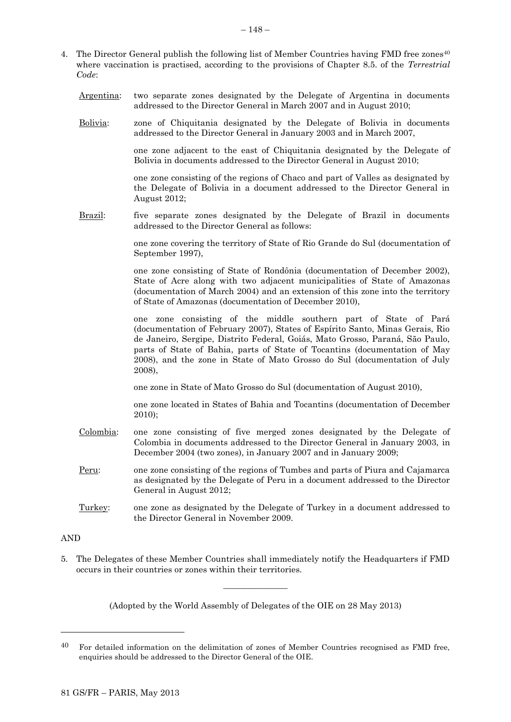- 4. The Director General publish the following list of Member Countries having FMD free zones<sup>40</sup> where vaccination is practised, according to the provisions of Chapter 8.5. of the *Terrestrial Code*:
	- Argentina: two separate zones designated by the Delegate of Argentina in documents addressed to the Director General in March 2007 and in August 2010;
	- Bolivia: zone of Chiquitania designated by the Delegate of Bolivia in documents addressed to the Director General in January 2003 and in March 2007,

one zone adjacent to the east of Chiquitania designated by the Delegate of Bolivia in documents addressed to the Director General in August 2010;

one zone consisting of the regions of Chaco and part of Valles as designated by the Delegate of Bolivia in a document addressed to the Director General in August 2012;

Brazil: five separate zones designated by the Delegate of Brazil in documents addressed to the Director General as follows:

> one zone covering the territory of State of Rio Grande do Sul (documentation of September 1997),

> one zone consisting of State of Rondônia (documentation of December 2002), State of Acre along with two adjacent municipalities of State of Amazonas (documentation of March 2004) and an extension of this zone into the territory of State of Amazonas (documentation of December 2010),

> one zone consisting of the middle southern part of State of Pará (documentation of February 2007), States of Espírito Santo, Minas Gerais, Rio de Janeiro, Sergipe, Distrito Federal, Goiás, Mato Grosso, Paraná, São Paulo, parts of State of Bahia, parts of State of Tocantins (documentation of May 2008), and the zone in State of Mato Grosso do Sul (documentation of July 2008),

one zone in State of Mato Grosso do Sul (documentation of August 2010),

one zone located in States of Bahia and Tocantins (documentation of December 2010);

- Colombia: one zone consisting of five merged zones designated by the Delegate of Colombia in documents addressed to the Director General in January 2003, in December 2004 (two zones), in January 2007 and in January 2009;
- Peru: one zone consisting of the regions of Tumbes and parts of Piura and Cajamarca as designated by the Delegate of Peru in a document addressed to the Director General in August 2012;
- Turkey: one zone as designated by the Delegate of Turkey in a document addressed to the Director General in November 2009.

AND

l

5. The Delegates of these Member Countries shall immediately notify the Headquarters if FMD occurs in their countries or zones within their territories.

 $\overline{\phantom{a}}$  , where  $\overline{\phantom{a}}$ 

<sup>40</sup> For detailed information on the delimitation of zones of Member Countries recognised as FMD free, enquiries should be addressed to the Director General of the OIE.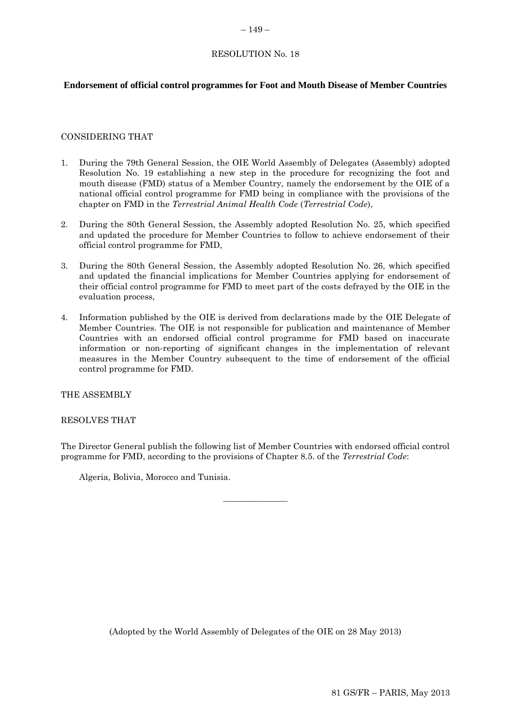# <span id="page-26-0"></span>RESOLUTION No. 18

# **Endorsement of official control programmes for Foot and Mouth Disease of Member Countries**

### CONSIDERING THAT

- 1. During the 79th General Session, the OIE World Assembly of Delegates (Assembly) adopted Resolution No. 19 establishing a new step in the procedure for recognizing the foot and mouth disease (FMD) status of a Member Country, namely the endorsement by the OIE of a national official control programme for FMD being in compliance with the provisions of the chapter on FMD in the *Terrestrial Animal Health Code* (*Terrestrial Code*),
- 2. During the 80th General Session, the Assembly adopted Resolution No. 25, which specified and updated the procedure for Member Countries to follow to achieve endorsement of their official control programme for FMD,
- 3. During the 80th General Session, the Assembly adopted Resolution No. 26, which specified and updated the financial implications for Member Countries applying for endorsement of their official control programme for FMD to meet part of the costs defrayed by the OIE in the evaluation process,
- 4. Information published by the OIE is derived from declarations made by the OIE Delegate of Member Countries. The OIE is not responsible for publication and maintenance of Member Countries with an endorsed official control programme for FMD based on inaccurate information or non-reporting of significant changes in the implementation of relevant measures in the Member Country subsequent to the time of endorsement of the official control programme for FMD.

THE ASSEMBLY

RESOLVES THAT

The Director General publish the following list of Member Countries with endorsed official control programme for FMD, according to the provisions of Chapter 8.5. of the *Terrestrial Code*:

 $\overline{\phantom{a}}$  , where  $\overline{\phantom{a}}$ 

Algeria, Bolivia, Morocco and Tunisia.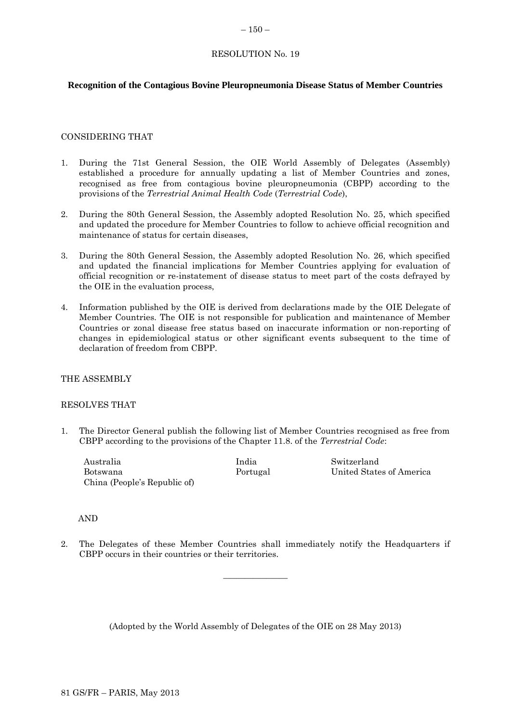# <span id="page-27-0"></span>RESOLUTION No. 19

# **Recognition of the Contagious Bovine Pleuropneumonia Disease Status of Member Countries**

### CONSIDERING THAT

- 1. During the 71st General Session, the OIE World Assembly of Delegates (Assembly) established a procedure for annually updating a list of Member Countries and zones, recognised as free from contagious bovine pleuropneumonia (CBPP) according to the provisions of the *Terrestrial Animal Health Code* (*Terrestrial Code*),
- 2. During the 80th General Session, the Assembly adopted Resolution No. 25, which specified and updated the procedure for Member Countries to follow to achieve official recognition and maintenance of status for certain diseases,
- 3. During the 80th General Session, the Assembly adopted Resolution No. 26, which specified and updated the financial implications for Member Countries applying for evaluation of official recognition or re-instatement of disease status to meet part of the costs defrayed by the OIE in the evaluation process,
- 4. Information published by the OIE is derived from declarations made by the OIE Delegate of Member Countries. The OIE is not responsible for publication and maintenance of Member Countries or zonal disease free status based on inaccurate information or non-reporting of changes in epidemiological status or other significant events subsequent to the time of declaration of freedom from CBPP.

### THE ASSEMBLY

### RESOLVES THAT

1. The Director General publish the following list of Member Countries recognised as free from CBPP according to the provisions of the Chapter 11.8. of the *Terrestrial Code*:

Australia Botswana China (People's Republic of) India Portugal Switzerland United States of America

AND

2. The Delegates of these Member Countries shall immediately notify the Headquarters if CBPP occurs in their countries or their territories.

 $\overline{\phantom{a}}$  , where  $\overline{\phantom{a}}$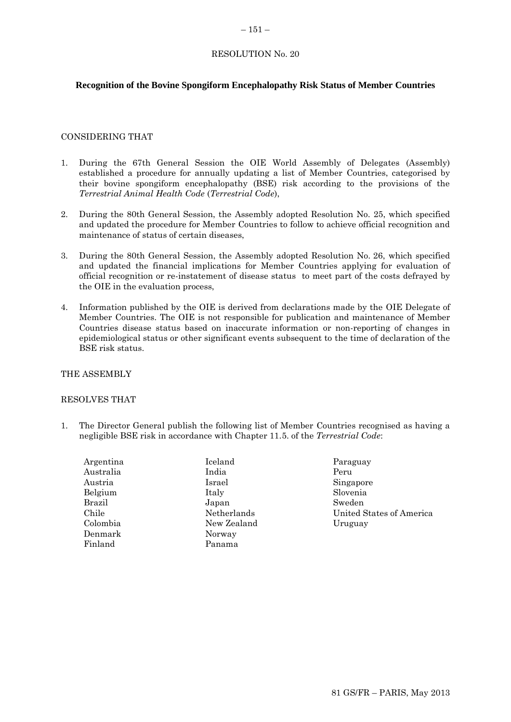#### <span id="page-28-0"></span> $-151-$

# RESOLUTION No. 20

# **Recognition of the Bovine Spongiform Encephalopathy Risk Status of Member Countries**

### CONSIDERING THAT

- 1. During the 67th General Session the OIE World Assembly of Delegates (Assembly) established a procedure for annually updating a list of Member Countries, categorised by their bovine spongiform encephalopathy (BSE) risk according to the provisions of the *Terrestrial Animal Health Code* (*Terrestrial Code*),
- 2. During the 80th General Session, the Assembly adopted Resolution No. 25, which specified and updated the procedure for Member Countries to follow to achieve official recognition and maintenance of status of certain diseases,
- 3. During the 80th General Session, the Assembly adopted Resolution No. 26, which specified and updated the financial implications for Member Countries applying for evaluation of official recognition or re-instatement of disease status to meet part of the costs defrayed by the OIE in the evaluation process,
- 4. Information published by the OIE is derived from declarations made by the OIE Delegate of Member Countries. The OIE is not responsible for publication and maintenance of Member Countries disease status based on inaccurate information or non-reporting of changes in epidemiological status or other significant events subsequent to the time of declaration of the BSE risk status.

# THE ASSEMBLY

### RESOLVES THAT

1. The Director General publish the following list of Member Countries recognised as having a negligible BSE risk in accordance with Chapter 11.5. of the *Terrestrial Code*:

| Argentina | Iceland  |
|-----------|----------|
| Australia | India    |
| Austria   | Israel   |
| Belgium   | Italy    |
| Brazil    | Japan    |
| Chile     | Netherla |
| Colombia  | New Zea  |
| Denmark   | Norway   |
| Finland   | Panama   |
|           |          |

- Netherlands Lealand
- Paraguay Peru Singapore Slovenia Sweden United States of America Uruguay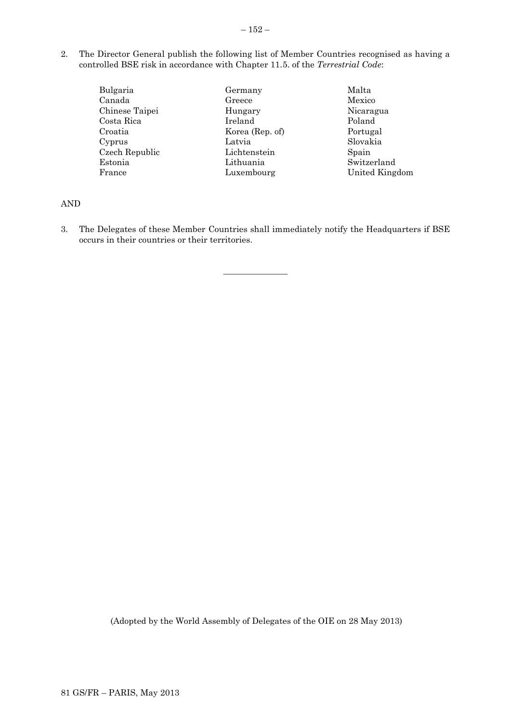- 2. The Director General publish the following list of Member Countries recognised as having a controlled BSE risk in accordance with Chapter 11.5. of the *Terrestrial Code*:
	- Bulgaria Canada Chinese Taipei Costa Rica Croatia Cyprus Czech Republic Estonia France Germany Greece Hungary Ireland Korea (Rep. of) Latvia Lichtenstein Lithuania Luxembourg
- Malta Mexico Nicaragua Poland Portugal Slovakia Spain Switzerland United Kingdom

AND

3. The Delegates of these Member Countries shall immediately notify the Headquarters if BSE occurs in their countries or their territories.

 $\overline{\phantom{a}}$  , where  $\overline{\phantom{a}}$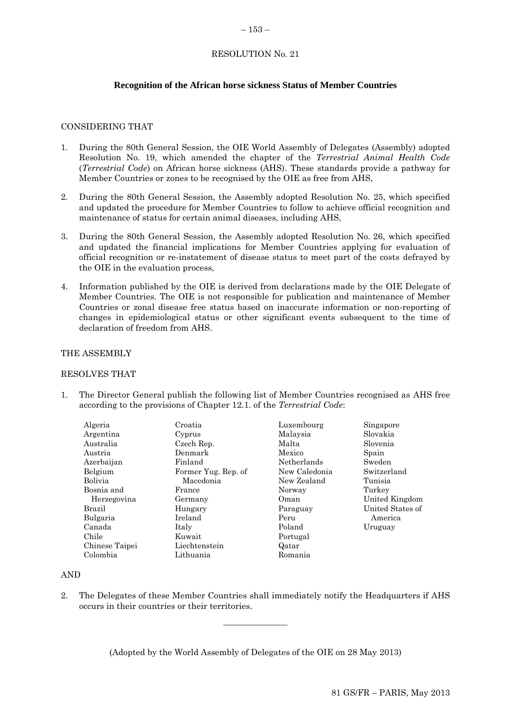#### <span id="page-30-0"></span> $-153-$

# RESOLUTION No. 21

# **Recognition of the African horse sickness Status of Member Countries**

### CONSIDERING THAT

- 1. During the 80th General Session, the OIE World Assembly of Delegates (Assembly) adopted Resolution No. 19, which amended the chapter of the *Terrestrial Animal Health Code*  (*Terrestrial Code*) on African horse sickness (AHS). These standards provide a pathway for Member Countries or zones to be recognised by the OIE as free from AHS,
- 2. During the 80th General Session, the Assembly adopted Resolution No. 25, which specified and updated the procedure for Member Countries to follow to achieve official recognition and maintenance of status for certain animal diseases, including AHS,
- 3. During the 80th General Session, the Assembly adopted Resolution No. 26, which specified and updated the financial implications for Member Countries applying for evaluation of official recognition or re-instatement of disease status to meet part of the costs defrayed by the OIE in the evaluation process,
- 4. Information published by the OIE is derived from declarations made by the OIE Delegate of Member Countries. The OIE is not responsible for publication and maintenance of Member Countries or zonal disease free status based on inaccurate information or non-reporting of changes in epidemiological status or other significant events subsequent to the time of declaration of freedom from AHS.

### THE ASSEMBLY

### RESOLVES THAT

1. The Director General publish the following list of Member Countries recognised as AHS free according to the provisions of Chapter 12.1. of the *Terrestrial Code*:

| Algeria        | Croatia             | Luxembourg    | Singapore        |
|----------------|---------------------|---------------|------------------|
| Argentina      | Cyprus              | Malaysia      | Slovakia         |
| Australia      | Czech Rep.          | Malta         | Slovenia         |
| Austria        | Denmark             | Mexico        | Spain            |
| Azerbaijan     | Finland             | Netherlands   | Sweden           |
| Belgium        | Former Yug. Rep. of | New Caledonia | Switzerland      |
| <b>Bolivia</b> | Macedonia           | New Zealand   | Tunisia          |
| Bosnia and     | France              | Norway        | Turkey           |
| Herzegovina    | Germany             | Oman          | United Kingdom   |
| Brazil         | Hungary             | Paraguay      | United States of |
| Bulgaria       | Ireland             | Peru          | America          |
| Canada         | Italy               | Poland        | Uruguay          |
| Chile          | Kuwait              | Portugal      |                  |
| Chinese Taipei | Liechtenstein       | Qatar         |                  |
| Colombia       | Lithuania           | Romania       |                  |

### AND

2. The Delegates of these Member Countries shall immediately notify the Headquarters if AHS occurs in their countries or their territories.

 $\frac{1}{2}$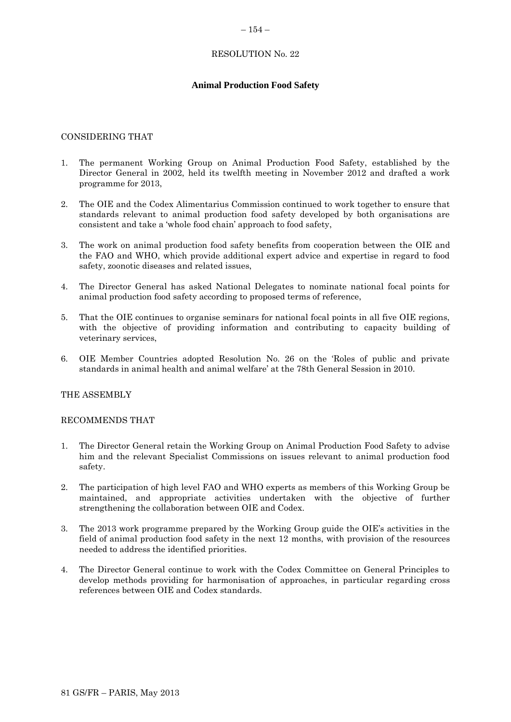### <span id="page-31-0"></span> $-154-$

# RESOLUTION No. 22

# **Animal Production Food Safety**

### CONSIDERING THAT

- 1. The permanent Working Group on Animal Production Food Safety, established by the Director General in 2002, held its twelfth meeting in November 2012 and drafted a work programme for 2013,
- 2. The OIE and the Codex Alimentarius Commission continued to work together to ensure that standards relevant to animal production food safety developed by both organisations are consistent and take a 'whole food chain' approach to food safety,
- 3. The work on animal production food safety benefits from cooperation between the OIE and the FAO and WHO, which provide additional expert advice and expertise in regard to food safety, zoonotic diseases and related issues,
- 4. The Director General has asked National Delegates to nominate national focal points for animal production food safety according to proposed terms of reference,
- 5. That the OIE continues to organise seminars for national focal points in all five OIE regions, with the objective of providing information and contributing to capacity building of veterinary services,
- 6. OIE Member Countries adopted Resolution No. 26 on the 'Roles of public and private standards in animal health and animal welfare' at the 78th General Session in 2010.

### THE ASSEMBLY

### RECOMMENDS THAT

- 1. The Director General retain the Working Group on Animal Production Food Safety to advise him and the relevant Specialist Commissions on issues relevant to animal production food safety.
- 2. The participation of high level FAO and WHO experts as members of this Working Group be maintained, and appropriate activities undertaken with the objective of further strengthening the collaboration between OIE and Codex.
- 3. The 2013 work programme prepared by the Working Group guide the OIE's activities in the field of animal production food safety in the next 12 months, with provision of the resources needed to address the identified priorities.
- 4. The Director General continue to work with the Codex Committee on General Principles to develop methods providing for harmonisation of approaches, in particular regarding cross references between OIE and Codex standards.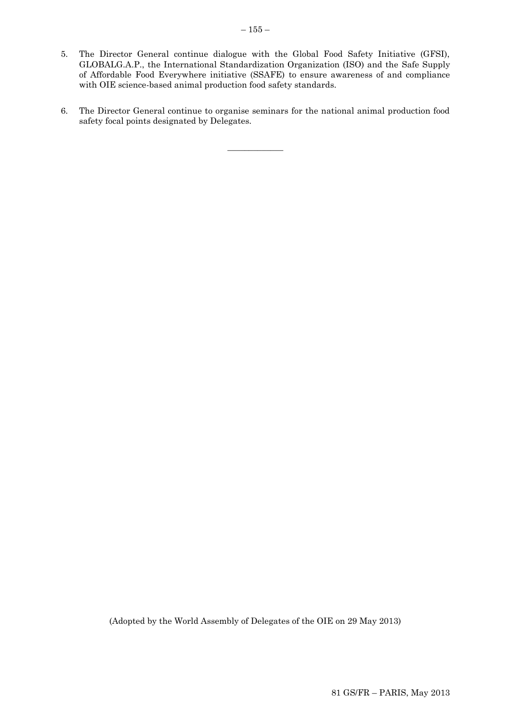- 5. The Director General continue dialogue with the Global Food Safety Initiative (GFSI), GLOBALG.A.P., the International Standardization Organization (ISO) and the Safe Supply of Affordable Food Everywhere initiative (SSAFE) to ensure awareness of and compliance with OIE science-based animal production food safety standards.
- 6. The Director General continue to organise seminars for the national animal production food safety focal points designated by Delegates.

 $\overline{\phantom{a}}$  ,  $\overline{\phantom{a}}$  ,  $\overline{\phantom{a}}$  ,  $\overline{\phantom{a}}$  ,  $\overline{\phantom{a}}$  ,  $\overline{\phantom{a}}$  ,  $\overline{\phantom{a}}$  ,  $\overline{\phantom{a}}$  ,  $\overline{\phantom{a}}$  ,  $\overline{\phantom{a}}$  ,  $\overline{\phantom{a}}$  ,  $\overline{\phantom{a}}$  ,  $\overline{\phantom{a}}$  ,  $\overline{\phantom{a}}$  ,  $\overline{\phantom{a}}$  ,  $\overline{\phantom{a}}$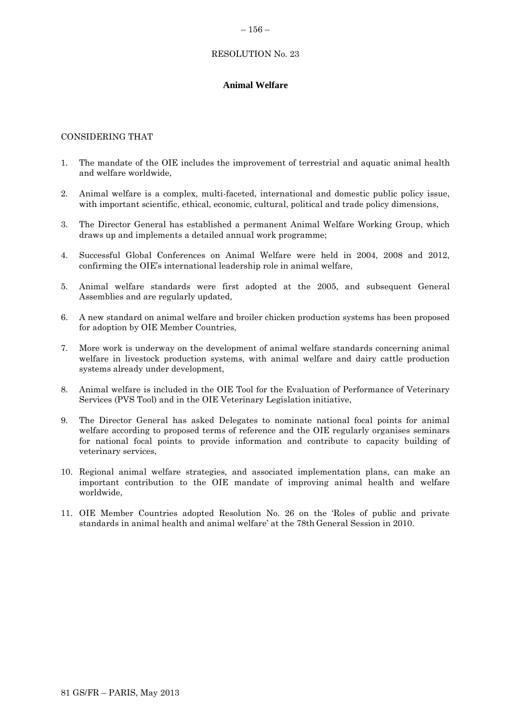# RESOLUTION No. 23

# <span id="page-33-0"></span>**Animal Welfare**

# CONSIDERING THAT

- 1. The mandate of the OIE includes the improvement of terrestrial and aquatic animal health and welfare worldwide,
- 2. Animal welfare is a complex, multi-faceted, international and domestic public policy issue, with important scientific, ethical, economic, cultural, political and trade policy dimensions,
- 3. The Director General has established a permanent Animal Welfare Working Group, which draws up and implements a detailed annual work programme;
- 4. Successful Global Conferences on Animal Welfare were held in 2004, 2008 and 2012, confirming the OIE's international leadership role in animal welfare,
- 5. Animal welfare standards were first adopted at the 2005, and subsequent General Assemblies and are regularly updated,
- 6. A new standard on animal welfare and broiler chicken production systems has been proposed for adoption by OIE Member Countries,
- 7. More work is underway on the development of animal welfare standards concerning animal welfare in livestock production systems, with animal welfare and dairy cattle production systems already under development,
- 8. Animal welfare is included in the OIE Tool for the Evaluation of Performance of Veterinary Services (PVS Tool) and in the OIE Veterinary Legislation initiative,
- 9. The Director General has asked Delegates to nominate national focal points for animal welfare according to proposed terms of reference and the OIE regularly organises seminars for national focal points to provide information and contribute to capacity building of veterinary services,
- 10. Regional animal welfare strategies, and associated implementation plans, can make an important contribution to the OIE mandate of improving animal health and welfare worldwide,
- 11. OIE Member Countries adopted Resolution No. 26 on the 'Roles of public and private standards in animal health and animal welfare' at the 78th General Session in 2010.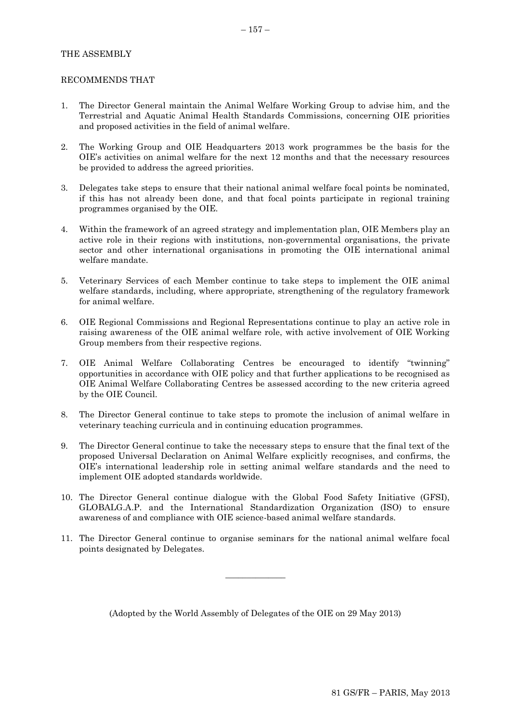## THE ASSEMBLY

#### RECOMMENDS THAT

- 1. The Director General maintain the Animal Welfare Working Group to advise him, and the Terrestrial and Aquatic Animal Health Standards Commissions, concerning OIE priorities and proposed activities in the field of animal welfare.
- 2. The Working Group and OIE Headquarters 2013 work programmes be the basis for the OIE's activities on animal welfare for the next 12 months and that the necessary resources be provided to address the agreed priorities.
- 3. Delegates take steps to ensure that their national animal welfare focal points be nominated, if this has not already been done, and that focal points participate in regional training programmes organised by the OIE.
- 4. Within the framework of an agreed strategy and implementation plan, OIE Members play an active role in their regions with institutions, non-governmental organisations, the private sector and other international organisations in promoting the OIE international animal welfare mandate.
- 5. Veterinary Services of each Member continue to take steps to implement the OIE animal welfare standards, including, where appropriate, strengthening of the regulatory framework for animal welfare.
- 6. OIE Regional Commissions and Regional Representations continue to play an active role in raising awareness of the OIE animal welfare role, with active involvement of OIE Working Group members from their respective regions.
- 7. OIE Animal Welfare Collaborating Centres be encouraged to identify "twinning" opportunities in accordance with OIE policy and that further applications to be recognised as OIE Animal Welfare Collaborating Centres be assessed according to the new criteria agreed by the OIE Council.
- 8. The Director General continue to take steps to promote the inclusion of animal welfare in veterinary teaching curricula and in continuing education programmes.
- 9. The Director General continue to take the necessary steps to ensure that the final text of the proposed Universal Declaration on Animal Welfare explicitly recognises, and confirms, the OIE's international leadership role in setting animal welfare standards and the need to implement OIE adopted standards worldwide.
- 10. The Director General continue dialogue with the Global Food Safety Initiative (GFSI), GLOBALG.A.P. and the International Standardization Organization (ISO) to ensure awareness of and compliance with OIE science-based animal welfare standards.
- 11. The Director General continue to organise seminars for the national animal welfare focal points designated by Delegates.

 $\overline{\phantom{a}}$  , where  $\overline{\phantom{a}}$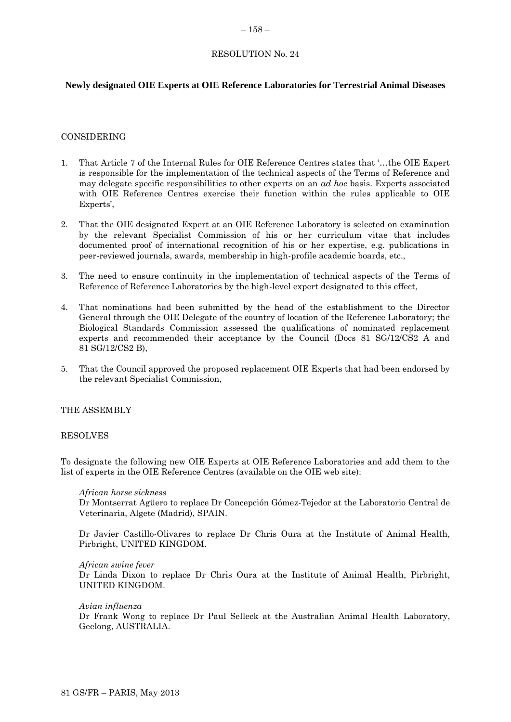#### <span id="page-35-0"></span> $-158-$

# RESOLUTION No. 24

# **Newly designated OIE Experts at OIE Reference Laboratories for Terrestrial Animal Diseases**

### CONSIDERING

- 1. That Article 7 of the Internal Rules for OIE Reference Centres states that '…the OIE Expert is responsible for the implementation of the technical aspects of the Terms of Reference and may delegate specific responsibilities to other experts on an *ad hoc* basis. Experts associated with OIE Reference Centres exercise their function within the rules applicable to OIE Experts',
- 2. That the OIE designated Expert at an OIE Reference Laboratory is selected on examination by the relevant Specialist Commission of his or her curriculum vitae that includes documented proof of international recognition of his or her expertise, e.g. publications in peer-reviewed journals, awards, membership in high-profile academic boards, etc.,
- 3. The need to ensure continuity in the implementation of technical aspects of the Terms of Reference of Reference Laboratories by the high-level expert designated to this effect,
- 4. That nominations had been submitted by the head of the establishment to the Director General through the OIE Delegate of the country of location of the Reference Laboratory; the Biological Standards Commission assessed the qualifications of nominated replacement experts and recommended their acceptance by the Council (Docs 81 SG/12/CS2 A and 81 SG/12/CS2 B),
- 5. That the Council approved the proposed replacement OIE Experts that had been endorsed by the relevant Specialist Commission,

### THE ASSEMBLY

#### RESOLVES

To designate the following new OIE Experts at OIE Reference Laboratories and add them to the list of experts in the OIE Reference Centres (available on the OIE web site):

#### *African horse sickness*

Dr Montserrat Agüero to replace Dr Concepción Gómez-Tejedor at the Laboratorio Central de Veterinaria, Algete (Madrid), SPAIN.

Dr Javier Castillo-Olivares to replace Dr Chris Oura at the Institute of Animal Health, Pirbright, UNITED KINGDOM.

#### *African swine fever*

Dr Linda Dixon to replace Dr Chris Oura at the Institute of Animal Health, Pirbright, UNITED KINGDOM.

### *Avian influenza*

Dr Frank Wong to replace Dr Paul Selleck at the Australian Animal Health Laboratory, Geelong, AUSTRALIA.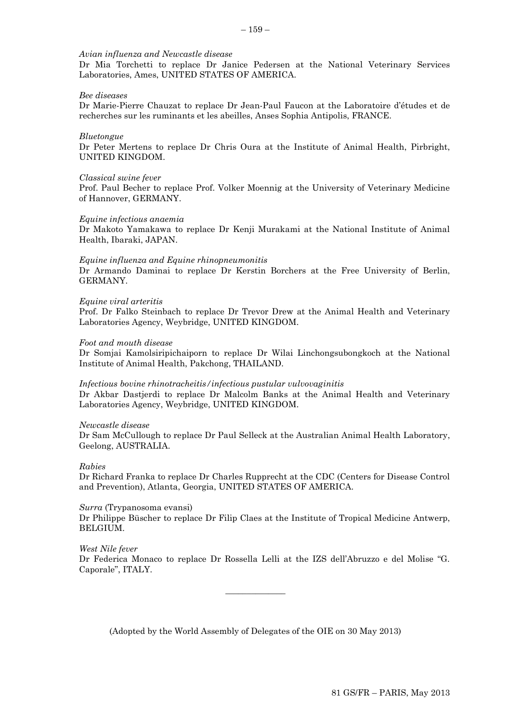# *Avian influenza and Newcastle disease*

Dr Mia Torchetti to replace Dr Janice Pedersen at the National Veterinary Services Laboratories, Ames, UNITED STATES OF AMERICA.

#### *Bee diseases*

Dr Marie-Pierre Chauzat to replace Dr Jean-Paul Faucon at the Laboratoire d'études et de recherches sur les ruminants et les abeilles, Anses Sophia Antipolis, FRANCE.

#### *Bluetongue*

Dr Peter Mertens to replace Dr Chris Oura at the Institute of Animal Health, Pirbright, UNITED KINGDOM.

#### *Classical swine fever*

Prof. Paul Becher to replace Prof. Volker Moennig at the University of Veterinary Medicine of Hannover, GERMANY.

#### *Equine infectious anaemia*

Dr Makoto Yamakawa to replace Dr Kenji Murakami at the National Institute of Animal Health, Ibaraki, JAPAN.

#### *Equine influenza and Equine rhinopneumonitis*

Dr Armando Daminai to replace Dr Kerstin Borchers at the Free University of Berlin, GERMANY.

#### *Equine viral arteritis*

Prof. Dr Falko Steinbach to replace Dr Trevor Drew at the Animal Health and Veterinary Laboratories Agency, Weybridge, UNITED KINGDOM.

#### *Foot and mouth disease*

Dr Somjai Kamolsiripichaiporn to replace Dr Wilai Linchongsubongkoch at the National Institute of Animal Health, Pakchong, THAILAND.

#### *Infectious bovine rhinotracheitis/infectious pustular vulvovaginitis*

Dr Akbar Dastjerdi to replace Dr Malcolm Banks at the Animal Health and Veterinary Laboratories Agency, Weybridge, UNITED KINGDOM.

#### *Newcastle disease*

Dr Sam McCullough to replace Dr Paul Selleck at the Australian Animal Health Laboratory, Geelong, AUSTRALIA.

### *Rabies*

Dr Richard Franka to replace Dr Charles Rupprecht at the CDC (Centers for Disease Control and Prevention), Atlanta, Georgia, UNITED STATES OF AMERICA.

#### *Surra* (Trypanosoma evansi)

Dr Philippe Büscher to replace Dr Filip Claes at the Institute of Tropical Medicine Antwerp, BELGIUM.

#### *West Nile fever*

Dr Federica Monaco to replace Dr Rossella Lelli at the IZS dell'Abruzzo e del Molise "G. Caporale", ITALY.

(Adopted by the World Assembly of Delegates of the OIE on 30 May 2013)

 $\overline{\phantom{a}}$  , where  $\overline{\phantom{a}}$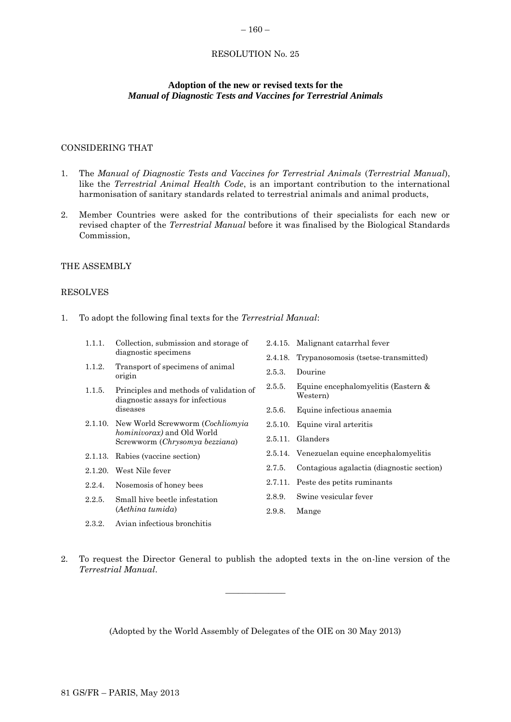### <span id="page-37-0"></span> $-160-$

# RESOLUTION No. 25

# **Adoption of the new or revised texts for the** *Manual of Diagnostic Tests and Vaccines for Terrestrial Animals*

# CONSIDERING THAT

- 1. The *Manual of Diagnostic Tests and Vaccines for Terrestrial Animals* (*Terrestrial Manual*), like the *Terrestrial Animal Health Code*, is an important contribution to the international harmonisation of sanitary standards related to terrestrial animals and animal products,
- 2. Member Countries were asked for the contributions of their specialists for each new or revised chapter of the *Terrestrial Manual* before it was finalised by the Biological Standards Commission,

#### THE ASSEMBLY

### RESOLVES

1. To adopt the following final texts for the *Terrestrial Manual*:

| 1.1.1.             | Collection, submission and storage of                                       |         | 2.4.15. Malignant catarrhal fever               |
|--------------------|-----------------------------------------------------------------------------|---------|-------------------------------------------------|
|                    | diagnostic specimens                                                        |         | 2.4.18. Trypanosomosis (tsetse-transmitted)     |
| 1.1.2.             | Transport of specimens of animal<br>origin                                  | 2.5.3.  | Dourine                                         |
| 1.1.5.<br>diseases | Principles and methods of validation of<br>diagnostic assays for infectious | 2.5.5.  | Equine encephalomyelitis (Eastern &<br>Western) |
|                    |                                                                             | 2.5.6.  | Equine infectious anaemia                       |
|                    | 2.1.10. New World Screwworm ( <i>Cochliomyia</i>                            | 2.5.10. | Equine viral arteritis                          |
|                    | <i>hominivorax</i> ) and Old World<br>Screwworm (Chrysomya bezziana)        | 2.5.11. | Glanders                                        |
|                    | 2.1.13. Rabies (vaccine section)                                            |         | 2.5.14. Venezuelan equine encephalomyelitis     |
| 2.1.20.            | West Nile fever                                                             | 2.7.5.  | Contagious agalactia (diagnostic section)       |
| 2.2.4.             | Nosemosis of honey bees                                                     |         | 2.7.11. Peste des petits ruminants              |
| 2.2.5.             | Small hive beetle infestation<br>(Aethina tumida)                           | 2.8.9.  | Swine vesicular fever                           |
|                    |                                                                             | 2.9.8.  | Mange                                           |
| 2.3.2.             | Avian infectious bronchitis                                                 |         |                                                 |

2. To request the Director General to publish the adopted texts in the on-line version of the *Terrestrial Manual*.

 $\frac{1}{2}$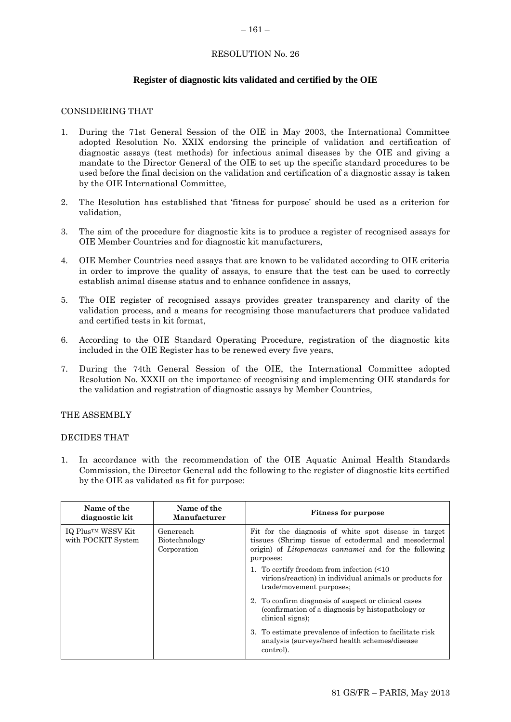### <span id="page-38-0"></span> $-161-$

# RESOLUTION No. 26

# **Register of diagnostic kits validated and certified by the OIE**

### CONSIDERING THAT

- 1. During the 71st General Session of the OIE in May 2003, the International Committee adopted Resolution No. XXIX endorsing the principle of validation and certification of diagnostic assays (test methods) for infectious animal diseases by the OIE and giving a mandate to the Director General of the OIE to set up the specific standard procedures to be used before the final decision on the validation and certification of a diagnostic assay is taken by the OIE International Committee,
- 2. The Resolution has established that 'fitness for purpose' should be used as a criterion for validation,
- 3. The aim of the procedure for diagnostic kits is to produce a register of recognised assays for OIE Member Countries and for diagnostic kit manufacturers,
- 4. OIE Member Countries need assays that are known to be validated according to OIE criteria in order to improve the quality of assays, to ensure that the test can be used to correctly establish animal disease status and to enhance confidence in assays,
- 5. The OIE register of recognised assays provides greater transparency and clarity of the validation process, and a means for recognising those manufacturers that produce validated and certified tests in kit format,
- 6. According to the OIE Standard Operating Procedure, registration of the diagnostic kits included in the OIE Register has to be renewed every five years,
- 7. During the 74th General Session of the OIE, the International Committee adopted Resolution No. XXXII on the importance of recognising and implementing OIE standards for the validation and registration of diagnostic assays by Member Countries,

### THE ASSEMBLY

### DECIDES THAT

1. In accordance with the recommendation of the OIE Aquatic Animal Health Standards Commission, the Director General add the following to the register of diagnostic kits certified by the OIE as validated as fit for purpose:

| Name of the<br>diagnostic kit           | Name of the<br>Manufacturer               | <b>Fitness for purpose</b>                                                                                                                                                                |
|-----------------------------------------|-------------------------------------------|-------------------------------------------------------------------------------------------------------------------------------------------------------------------------------------------|
| IQ Plus™ WSSV Kit<br>with POCKIT System | Genereach<br>Biotechnology<br>Corporation | Fit for the diagnosis of white spot disease in target<br>tissues (Shrimp tissue of ectodermal and mesodermal<br>origin) of <i>Litopenaeus</i> vannamei and for the following<br>purposes: |
|                                         |                                           | 1. To certify freedom from infection $\leq 10$<br>virions/reaction) in individual animals or products for<br>trade/movement purposes;                                                     |
|                                         |                                           | 2. To confirm diagnosis of suspect or clinical cases<br>(confirmation of a diagnosis by histopathology or<br>clinical signs);                                                             |
|                                         |                                           | To estimate prevalence of infection to facilitate risk<br>3.<br>analysis (surveys/herd health schemes/disease)<br>control.                                                                |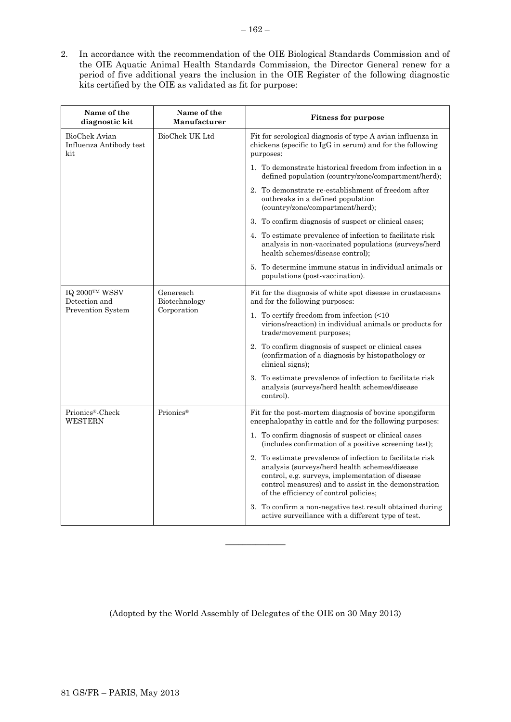2. In accordance with the recommendation of the OIE Biological Standards Commission and of the OIE Aquatic Animal Health Standards Commission, the Director General renew for a period of five additional years the inclusion in the OIE Register of the following diagnostic kits certified by the OIE as validated as fit for purpose:

| Name of the<br>diagnostic kit                               | Name of the<br>Manufacturer               | <b>Fitness for purpose</b>                                                                                                                                                                                                                                       |
|-------------------------------------------------------------|-------------------------------------------|------------------------------------------------------------------------------------------------------------------------------------------------------------------------------------------------------------------------------------------------------------------|
| <b>BioChek Avian</b><br>Influenza Antibody test<br>kit      | BioChek UK Ltd                            | Fit for serological diagnosis of type A avian influenza in<br>chickens (specific to IgG in serum) and for the following<br>purposes:                                                                                                                             |
|                                                             |                                           | 1. To demonstrate historical freedom from infection in a<br>defined population (country/zone/compartment/herd);                                                                                                                                                  |
|                                                             |                                           | 2. To demonstrate re-establishment of freedom after<br>outbreaks in a defined population<br>(country/zone/compartment/herd);                                                                                                                                     |
|                                                             |                                           | 3. To confirm diagnosis of suspect or clinical cases;                                                                                                                                                                                                            |
|                                                             |                                           | 4. To estimate prevalence of infection to facilitate risk<br>analysis in non-vaccinated populations (surveys/herd<br>health schemes/disease control);                                                                                                            |
|                                                             |                                           | 5. To determine immune status in individual animals or<br>populations (post-vaccination).                                                                                                                                                                        |
| IQ 2000TM WSSV<br>Detection and<br><b>Prevention System</b> | Genereach<br>Biotechnology<br>Corporation | Fit for the diagnosis of white spot disease in crustaceans<br>and for the following purposes:                                                                                                                                                                    |
|                                                             |                                           | 1. To certify freedom from infection (<10<br>virions/reaction) in individual animals or products for<br>trade/movement purposes;                                                                                                                                 |
|                                                             |                                           | 2. To confirm diagnosis of suspect or clinical cases<br>(confirmation of a diagnosis by histopathology or<br>clinical signs);                                                                                                                                    |
|                                                             |                                           | 3. To estimate prevalence of infection to facilitate risk<br>analysis (surveys/herd health schemes/disease<br>control).                                                                                                                                          |
| Prionics® Check<br>WESTERN                                  | Prionics <sup>®</sup>                     | Fit for the post-mortem diagnosis of bovine spongiform<br>encephalopathy in cattle and for the following purposes:                                                                                                                                               |
|                                                             |                                           | 1. To confirm diagnosis of suspect or clinical cases<br>(includes confirmation of a positive screening test);                                                                                                                                                    |
|                                                             |                                           | 2. To estimate prevalence of infection to facilitate risk<br>analysis (surveys/herd health schemes/disease<br>control, e.g. surveys, implementation of disease<br>control measures) and to assist in the demonstration<br>of the efficiency of control policies; |
|                                                             |                                           | 3. To confirm a non-negative test result obtained during<br>active surveillance with a different type of test.                                                                                                                                                   |

(Adopted by the World Assembly of Delegates of the OIE on 30 May 2013)

 $\overline{\phantom{a}}$  , where  $\overline{\phantom{a}}$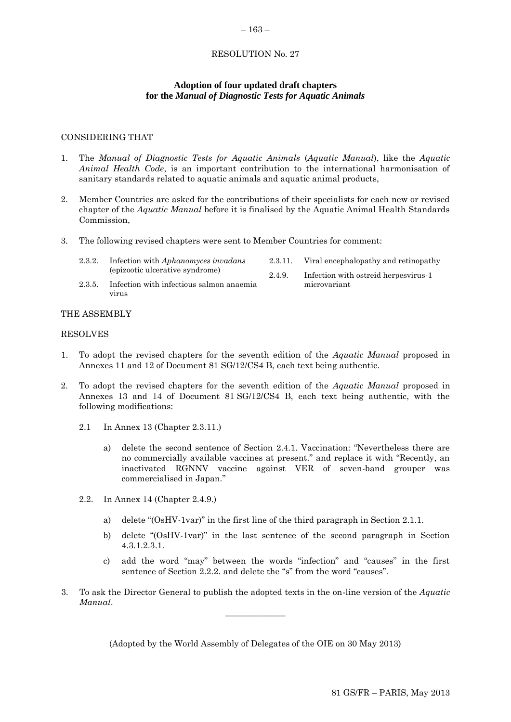# RESOLUTION No. 27

<span id="page-40-0"></span>– 163 –

# **Adoption of four updated draft chapters for the** *Manual of Diagnostic Tests for Aquatic Animals*

### CONSIDERING THAT

- 1. The *Manual of Diagnostic Tests for Aquatic Animals* (*Aquatic Manual*), like the *Aquatic Animal Health Code*, is an important contribution to the international harmonisation of sanitary standards related to aquatic animals and aquatic animal products,
- 2. Member Countries are asked for the contributions of their specialists for each new or revised chapter of the *Aquatic Manual* before it is finalised by the Aquatic Animal Health Standards Commission,
- 3. The following revised chapters were sent to Member Countries for comment:
	- 2.3.2. Infection with *Aphanomyces invadans* (epizootic ulcerative syndrome)
- 2.3.11. Viral encephalopathy and retinopathy
- 2.4.9. Infection with ostreid herpesvirus-1 microvariant
- 2.3.5. Infection with infectious salmon anaemia virus

### THE ASSEMBLY

### RESOLVES

- 1. To adopt the revised chapters for the seventh edition of the *Aquatic Manual* proposed in Annexes 11 and 12 of Document 81 SG/12/CS4 B, each text being authentic.
- 2. To adopt the revised chapters for the seventh edition of the *Aquatic Manual* proposed in Annexes 13 and 14 of Document 81 SG/12/CS4 B, each text being authentic, with the following modifications:
	- 2.1 In Annex 13 (Chapter 2.3.11.)
		- a) delete the second sentence of Section 2.4.1. Vaccination: "Nevertheless there are no commercially available vaccines at present." and replace it with "Recently, an inactivated RGNNV vaccine against VER of seven-band grouper was commercialised in Japan."
	- 2.2. In Annex 14 (Chapter 2.4.9.)
		- a) delete "(OsHV-1var)" in the first line of the third paragraph in Section 2.1.1.
		- b) delete "(OsHV-1var)" in the last sentence of the second paragraph in Section 4.3.1.2.3.1.
		- c) add the word "may" between the words "infection" and "causes" in the first sentence of Section 2.2.2. and delete the "s" from the word "causes".
- 3. To ask the Director General to publish the adopted texts in the on-line version of the *Aquatic Manual*.  $\overline{\phantom{a}}$  , where  $\overline{\phantom{a}}$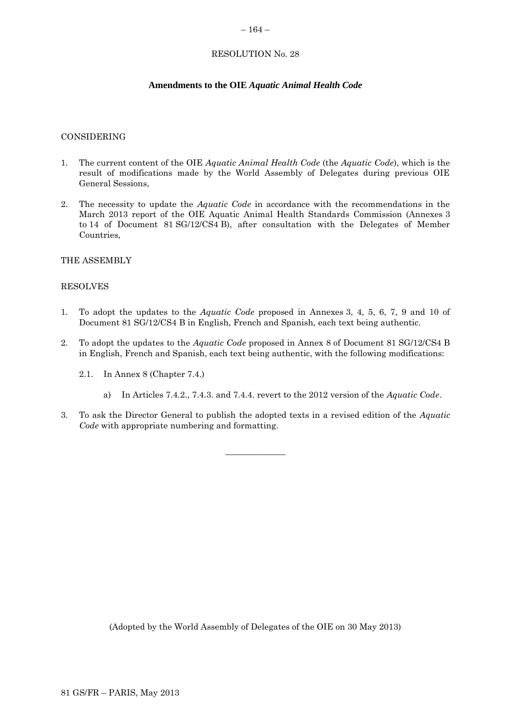#### <span id="page-41-0"></span> $-164-$

# RESOLUTION No. 28

# **Amendments to the OIE** *Aquatic Animal Health Code*

#### CONSIDERING

- 1. The current content of the OIE *Aquatic Animal Health Code* (the *Aquatic Code*), which is the result of modifications made by the World Assembly of Delegates during previous OIE General Sessions,
- 2. The necessity to update the *Aquatic Code* in accordance with the recommendations in the March 2013 report of the OIE Aquatic Animal Health Standards Commission (Annexes 3 to 14 of Document 81 SG/12/CS4 B), after consultation with the Delegates of Member Countries,

### THE ASSEMBLY

### RESOLVES

- 1. To adopt the updates to the *Aquatic Code* proposed in Annexes 3, 4, 5, 6, 7, 9 and 10 of Document 81 SG/12/CS4 B in English, French and Spanish, each text being authentic.
- 2. To adopt the updates to the *Aquatic Code* proposed in Annex 8 of Document 81 SG/12/CS4 B in English, French and Spanish, each text being authentic, with the following modifications:
	- 2.1. In Annex 8 (Chapter 7.4.)
		- a) In Articles 7.4.2., 7.4.3. and 7.4.4. revert to the 2012 version of the *Aquatic Code*.
- 3. To ask the Director General to publish the adopted texts in a revised edition of the *Aquatic Code* with appropriate numbering and formatting.

 $\overline{\phantom{a}}$  , where  $\overline{\phantom{a}}$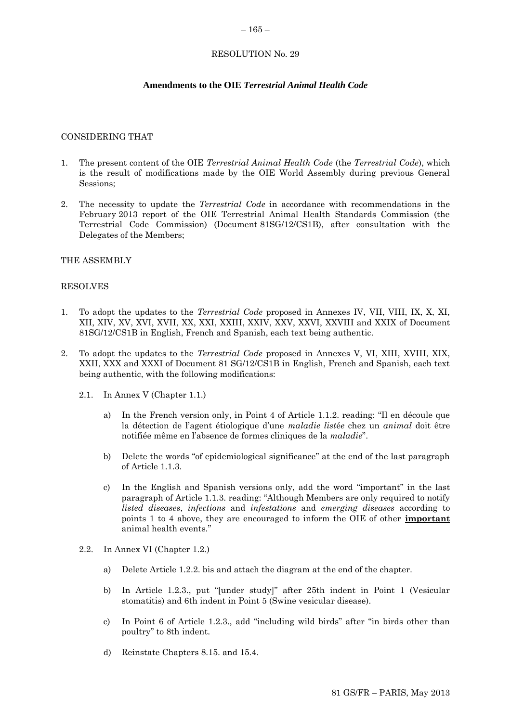#### <span id="page-42-0"></span> $-165-$

# RESOLUTION No. 29

# **Amendments to the OIE** *Terrestrial Animal Health Code*

#### CONSIDERING THAT

- 1. The present content of the OIE *Terrestrial Animal Health Code* (the *Terrestrial Code*), which is the result of modifications made by the OIE World Assembly during previous General Sessions;
- 2. The necessity to update the *Terrestrial Code* in accordance with recommendations in the February 2013 report of the OIE Terrestrial Animal Health Standards Commission (the Terrestrial Code Commission) (Document 81SG/12/CS1B), after consultation with the Delegates of the Members;

### THE ASSEMBLY

#### RESOLVES

- 1. To adopt the updates to the *Terrestrial Code* proposed in Annexes IV, VII, VIII, IX, X, XI, XII, XIV, XV, XVI, XVII, XX, XXI, XXIII, XXIV, XXV, XXVI, XXVIII and XXIX of Document 81SG/12/CS1B in English, French and Spanish, each text being authentic.
- 2. To adopt the updates to the *Terrestrial Code* proposed in Annexes V, VI, XIII, XVIII, XIX, XXII, XXX and XXXI of Document 81 SG/12/CS1B in English, French and Spanish, each text being authentic, with the following modifications:
	- 2.1. In Annex V (Chapter 1.1.)
		- a) In the French version only, in Point 4 of Article 1.1.2. reading: "Il en découle que la détection de l'agent étiologique d'une *maladie list*é*e* chez un *animal* doit être notifiée même en l'absence de formes cliniques de la *maladie*".
		- b) Delete the words "of epidemiological significance" at the end of the last paragraph of Article 1.1.3.
		- c) In the English and Spanish versions only, add the word "important" in the last paragraph of Article 1.1.3. reading: "Although Members are only required to notify *listed diseases*, *infections* and *infestations* and *emerging diseases* according to points 1 to 4 above, they are encouraged to inform the OIE of other **important** animal health events."
	- 2.2. In Annex VI (Chapter 1.2.)
		- a) Delete Article 1.2.2. bis and attach the diagram at the end of the chapter.
		- b) In Article 1.2.3., put "[under study]" after 25th indent in Point 1 (Vesicular stomatitis) and 6th indent in Point 5 (Swine vesicular disease).
		- c) In Point 6 of Article 1.2.3., add "including wild birds" after "in birds other than poultry" to 8th indent.
		- d) Reinstate Chapters 8.15. and 15.4.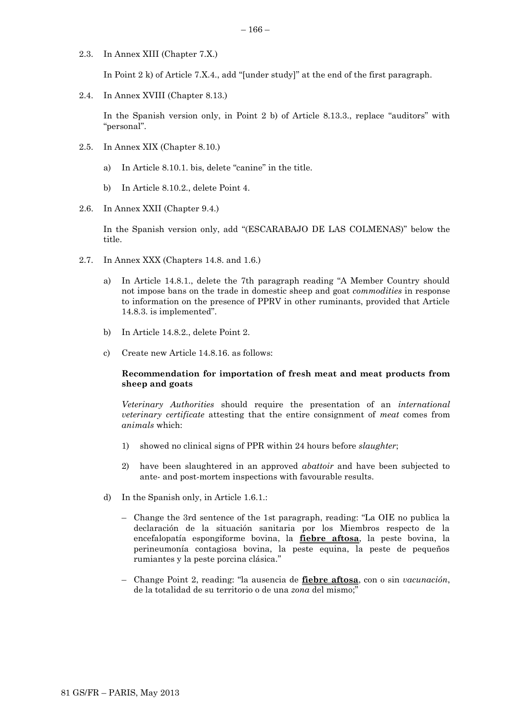2.3. In Annex XIII (Chapter 7.X.)

In Point 2 k) of Article 7.X.4., add "[under study]" at the end of the first paragraph.

2.4. In Annex XVIII (Chapter 8.13.)

In the Spanish version only, in Point 2 b) of Article 8.13.3., replace "auditors" with "personal".

- 2.5. In Annex XIX (Chapter 8.10.)
	- a) In Article 8.10.1. bis, delete "canine" in the title.
	- b) In Article 8.10.2., delete Point 4.
- 2.6. In Annex XXII (Chapter 9.4.)

In the Spanish version only, add "(ESCARABAJO DE LAS COLMENAS)" below the title.

- 2.7. In Annex XXX (Chapters 14.8. and 1.6.)
	- a) In Article 14.8.1., delete the 7th paragraph reading "A Member Country should not impose bans on the trade in domestic sheep and goat *commodities* in response to information on the presence of PPRV in other ruminants, provided that Article 14.8.3. is implemented".
	- b) In Article 14.8.2., delete Point 2.
	- c) Create new Article 14.8.16. as follows:

### **Recommendation for importation of fresh meat and meat products from sheep and goats**

*Veterinary Authorities* should require the presentation of an *international veterinary certificate* attesting that the entire consignment of *meat* comes from *animals* which:

- 1) showed no clinical signs of PPR within 24 hours before *slaughter*;
- 2) have been slaughtered in an approved *abattoir* and have been subjected to ante- and post-mortem inspections with favourable results.
- d) In the Spanish only, in Article 1.6.1.:
	- Change the 3rd sentence of the 1st paragraph, reading: "La OIE no publica la declaración de la situación sanitaria por los Miembros respecto de la encefalopatía espongiforme bovina, la **fiebre aftosa**, la peste bovina, la perineumonía contagiosa bovina, la peste equina, la peste de pequeños rumiantes y la peste porcina clásica."
	- Change Point 2, reading: "la ausencia de **fiebre aftosa**, con o sin *vacunación*, de la totalidad de su territorio o de una *zona* del mismo;"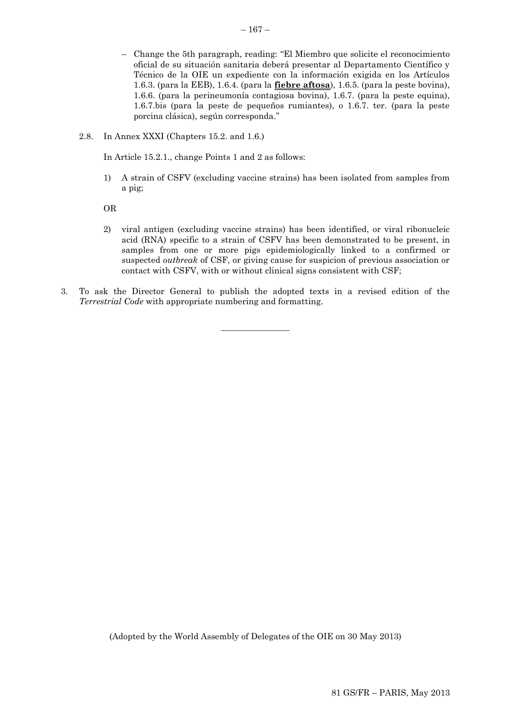- Change the 5th paragraph, reading: "El Miembro que solicite el reconocimiento oficial de su situación sanitaria deberá presentar al Departamento Científico y Técnico de la OIE un expediente con la información exigida en los Artículos 1.6.3. (para la EEB), 1.6.4. (para la **fiebre aftosa**), 1.6.5. (para la peste bovina), 1.6.6. (para la perineumonía contagiosa bovina), 1.6.7. (para la peste equina), 1.6.7.bis (para la peste de pequeños rumiantes), o 1.6.7. ter. (para la peste porcina clásica), según corresponda."
- 2.8. In Annex XXXI (Chapters 15.2. and 1.6.)

In Article 15.2.1., change Points 1 and 2 as follows:

1) A strain of CSFV (excluding vaccine strains) has been isolated from samples from a pig;

OR

- 2) viral antigen (excluding vaccine strains) has been identified, or viral ribonucleic acid (RNA) specific to a strain of CSFV has been demonstrated to be present, in samples from one or more pigs epidemiologically linked to a confirmed or suspected *outbreak* of CSF, or giving cause for suspicion of previous association or contact with CSFV, with or without clinical signs consistent with CSF;
- 3. To ask the Director General to publish the adopted texts in a revised edition of the *Terrestrial Code* with appropriate numbering and formatting.

 $\overline{\phantom{a}}$  , where  $\overline{\phantom{a}}$ 

 $-167-$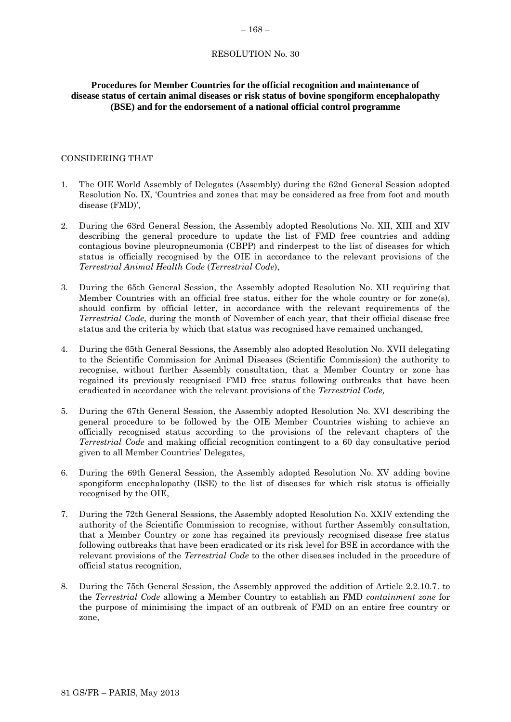#### <span id="page-45-0"></span> $-168-$

#### RESOLUTION No. 30

# **Procedures for Member Countries for the official recognition and maintenance of disease status of certain animal diseases or risk status of bovine spongiform encephalopathy (BSE) and for the endorsement of a national official control programme**

### CONSIDERING THAT

- 1. The OIE World Assembly of Delegates (Assembly) during the 62nd General Session adopted Resolution No. IX, 'Countries and zones that may be considered as free from foot and mouth disease (FMD)',
- 2. During the 63rd General Session, the Assembly adopted Resolutions No. XII, XIII and XIV describing the general procedure to update the list of FMD free countries and adding contagious bovine pleuropneumonia (CBPP) and rinderpest to the list of diseases for which status is officially recognised by the OIE in accordance to the relevant provisions of the *Terrestrial Animal Health Code* (*Terrestrial Code*),
- 3. During the 65th General Session, the Assembly adopted Resolution No. XII requiring that Member Countries with an official free status, either for the whole country or for zone(s), should confirm by official letter, in accordance with the relevant requirements of the *Terrestrial Code*, during the month of November of each year, that their official disease free status and the criteria by which that status was recognised have remained unchanged,
- 4. During the 65th General Sessions, the Assembly also adopted Resolution No. XVII delegating to the Scientific Commission for Animal Diseases (Scientific Commission) the authority to recognise, without further Assembly consultation, that a Member Country or zone has regained its previously recognised FMD free status following outbreaks that have been eradicated in accordance with the relevant provisions of the *Terrestrial Code,*
- 5. During the 67th General Session, the Assembly adopted Resolution No. XVI describing the general procedure to be followed by the OIE Member Countries wishing to achieve an officially recognised status according to the provisions of the relevant chapters of the *Terrestrial Code* and making official recognition contingent to a 60 day consultative period given to all Member Countries' Delegates,
- 6. During the 69th General Session, the Assembly adopted Resolution No. XV adding bovine spongiform encephalopathy (BSE) to the list of diseases for which risk status is officially recognised by the OIE,
- 7. During the 72th General Sessions, the Assembly adopted Resolution No. XXIV extending the authority of the Scientific Commission to recognise, without further Assembly consultation, that a Member Country or zone has regained its previously recognised disease free status following outbreaks that have been eradicated or its risk level for BSE in accordance with the relevant provisions of the *Terrestrial Code* to the other diseases included in the procedure of official status recognition*,*
- 8. During the 75th General Session, the Assembly approved the addition of Article 2.2.10.7. to the *Terrestrial Code* allowing a Member Country to establish an FMD *containment zone* for the purpose of minimising the impact of an outbreak of FMD on an entire free country or zone,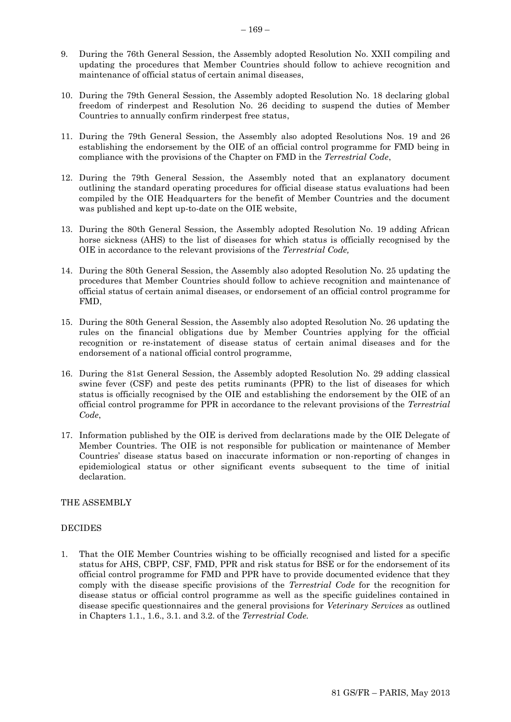- 9. During the 76th General Session, the Assembly adopted Resolution No. XXII compiling and updating the procedures that Member Countries should follow to achieve recognition and maintenance of official status of certain animal diseases,
- 10. During the 79th General Session, the Assembly adopted Resolution No. 18 declaring global freedom of rinderpest and Resolution No. 26 deciding to suspend the duties of Member Countries to annually confirm rinderpest free status,
- 11. During the 79th General Session, the Assembly also adopted Resolutions Nos. 19 and 26 establishing the endorsement by the OIE of an official control programme for FMD being in compliance with the provisions of the Chapter on FMD in the *Terrestrial Code*,
- 12. During the 79th General Session, the Assembly noted that an explanatory document outlining the standard operating procedures for official disease status evaluations had been compiled by the OIE Headquarters for the benefit of Member Countries and the document was published and kept up-to-date on the OIE website,
- 13. During the 80th General Session, the Assembly adopted Resolution No. 19 adding African horse sickness (AHS) to the list of diseases for which status is officially recognised by the OIE in accordance to the relevant provisions of the *Terrestrial Code,*
- 14. During the 80th General Session, the Assembly also adopted Resolution No. 25 updating the procedures that Member Countries should follow to achieve recognition and maintenance of official status of certain animal diseases, or endorsement of an official control programme for FMD,
- 15. During the 80th General Session, the Assembly also adopted Resolution No. 26 updating the rules on the financial obligations due by Member Countries applying for the official recognition or re-instatement of disease status of certain animal diseases and for the endorsement of a national official control programme,
- 16. During the 81st General Session, the Assembly adopted Resolution No. 29 adding classical swine fever (CSF) and peste des petits ruminants (PPR) to the list of diseases for which status is officially recognised by the OIE and establishing the endorsement by the OIE of an official control programme for PPR in accordance to the relevant provisions of the *Terrestrial Code*,
- 17. Information published by the OIE is derived from declarations made by the OIE Delegate of Member Countries. The OIE is not responsible for publication or maintenance of Member Countries' disease status based on inaccurate information or non-reporting of changes in epidemiological status or other significant events subsequent to the time of initial declaration.

### THE ASSEMBLY

# DECIDES

1. That the OIE Member Countries wishing to be officially recognised and listed for a specific status for AHS, CBPP, CSF, FMD, PPR and risk status for BSE or for the endorsement of its official control programme for FMD and PPR have to provide documented evidence that they comply with the disease specific provisions of the *Terrestrial Code* for the recognition for disease status or official control programme as well as the specific guidelines contained in disease specific questionnaires and the general provisions for *Veterinary Services* as outlined in Chapters 1.1., 1.6., 3.1. and 3.2. of the *Terrestrial Code.*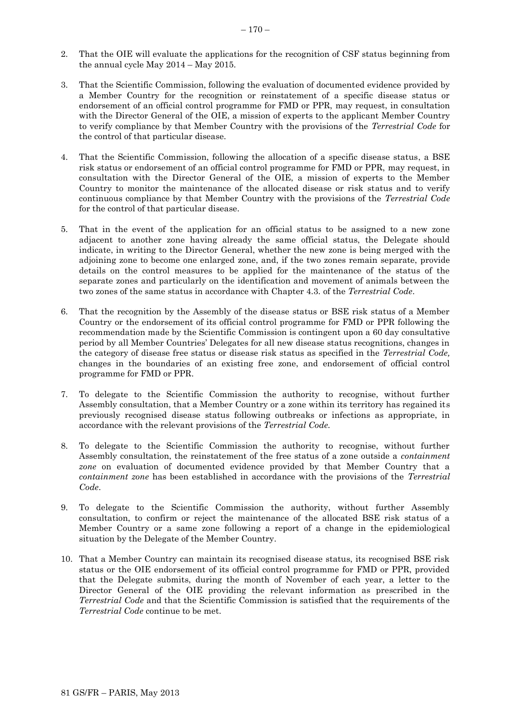- 2. That the OIE will evaluate the applications for the recognition of CSF status beginning from the annual cycle May 2014 – May 2015.
- 3. That the Scientific Commission, following the evaluation of documented evidence provided by a Member Country for the recognition or reinstatement of a specific disease status or endorsement of an official control programme for FMD or PPR, may request, in consultation with the Director General of the OIE, a mission of experts to the applicant Member Country to verify compliance by that Member Country with the provisions of the *Terrestrial Code* for the control of that particular disease.
- 4. That the Scientific Commission, following the allocation of a specific disease status, a BSE risk status or endorsement of an official control programme for FMD or PPR, may request, in consultation with the Director General of the OIE, a mission of experts to the Member Country to monitor the maintenance of the allocated disease or risk status and to verify continuous compliance by that Member Country with the provisions of the *Terrestrial Code* for the control of that particular disease.
- 5. That in the event of the application for an official status to be assigned to a new zone adjacent to another zone having already the same official status, the Delegate should indicate, in writing to the Director General, whether the new zone is being merged with the adjoining zone to become one enlarged zone, and, if the two zones remain separate, provide details on the control measures to be applied for the maintenance of the status of the separate zones and particularly on the identification and movement of animals between the two zones of the same status in accordance with Chapter 4.3. of the *Terrestrial Code*.
- 6. That the recognition by the Assembly of the disease status or BSE risk status of a Member Country or the endorsement of its official control programme for FMD or PPR following the recommendation made by the Scientific Commission is contingent upon a 60 day consultative period by all Member Countries' Delegates for all new disease status recognitions, changes in the category of disease free status or disease risk status as specified in the *Terrestrial Code,*  changes in the boundaries of an existing free zone, and endorsement of official control programme for FMD or PPR.
- 7. To delegate to the Scientific Commission the authority to recognise, without further Assembly consultation, that a Member Country or a zone within its territory has regained its previously recognised disease status following outbreaks or infections as appropriate, in accordance with the relevant provisions of the *Terrestrial Code.*
- 8. To delegate to the Scientific Commission the authority to recognise, without further Assembly consultation, the reinstatement of the free status of a zone outside a *containment zone* on evaluation of documented evidence provided by that Member Country that a *containment zone* has been established in accordance with the provisions of the *Terrestrial Code*.
- 9. To delegate to the Scientific Commission the authority, without further Assembly consultation, to confirm or reject the maintenance of the allocated BSE risk status of a Member Country or a same zone following a report of a change in the epidemiological situation by the Delegate of the Member Country.
- 10. That a Member Country can maintain its recognised disease status, its recognised BSE risk status or the OIE endorsement of its official control programme for FMD or PPR, provided that the Delegate submits, during the month of November of each year, a letter to the Director General of the OIE providing the relevant information as prescribed in the *Terrestrial Code* and that the Scientific Commission is satisfied that the requirements of the *Terrestrial Code* continue to be met.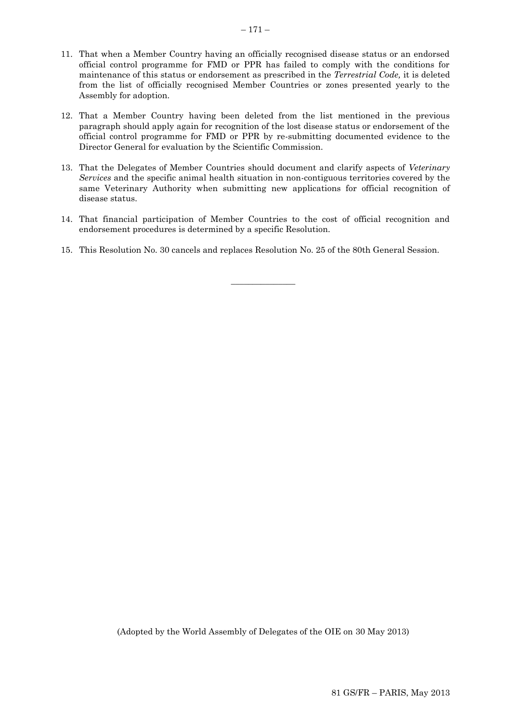- 11. That when a Member Country having an officially recognised disease status or an endorsed official control programme for FMD or PPR has failed to comply with the conditions for maintenance of this status or endorsement as prescribed in the *Terrestrial Code,* it is deleted from the list of officially recognised Member Countries or zones presented yearly to the Assembly for adoption.
- 12. That a Member Country having been deleted from the list mentioned in the previous paragraph should apply again for recognition of the lost disease status or endorsement of the official control programme for FMD or PPR by re-submitting documented evidence to the Director General for evaluation by the Scientific Commission.
- 13. That the Delegates of Member Countries should document and clarify aspects of *Veterinary Services* and the specific animal health situation in non-contiguous territories covered by the same Veterinary Authority when submitting new applications for official recognition of disease status.
- 14. That financial participation of Member Countries to the cost of official recognition and endorsement procedures is determined by a specific Resolution.

 $\overline{\phantom{a}}$  , where  $\overline{\phantom{a}}$ 

15. This Resolution No. 30 cancels and replaces Resolution No. 25 of the 80th General Session.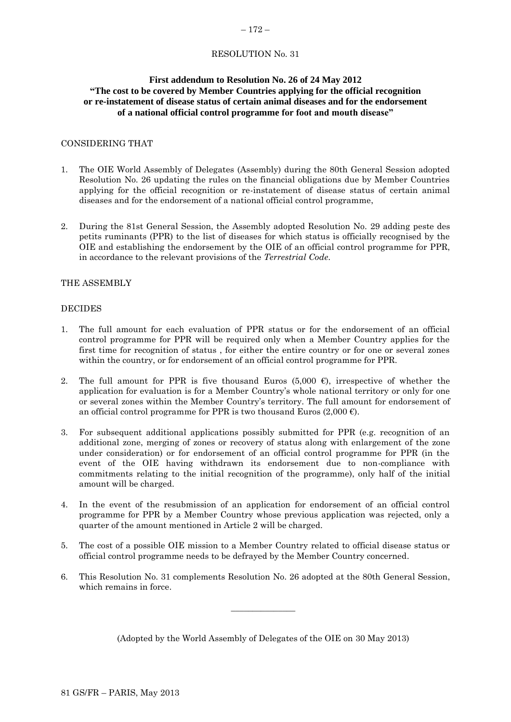# <span id="page-49-0"></span>RESOLUTION No. 31

# **First addendum to Resolution No. 26 of 24 May 2012 "The cost to be covered by Member Countries applying for the official recognition or re-instatement of disease status of certain animal diseases and for the endorsement of a national official control programme for foot and mouth disease"**

# CONSIDERING THAT

- 1. The OIE World Assembly of Delegates (Assembly) during the 80th General Session adopted Resolution No. 26 updating the rules on the financial obligations due by Member Countries applying for the official recognition or re-instatement of disease status of certain animal diseases and for the endorsement of a national official control programme,
- 2. During the 81st General Session, the Assembly adopted Resolution No. 29 adding peste des petits ruminants (PPR) to the list of diseases for which status is officially recognised by the OIE and establishing the endorsement by the OIE of an official control programme for PPR, in accordance to the relevant provisions of the *Terrestrial Code*.

# THE ASSEMBLY

### DECIDES

- 1. The full amount for each evaluation of PPR status or for the endorsement of an official control programme for PPR will be required only when a Member Country applies for the first time for recognition of status , for either the entire country or for one or several zones within the country, or for endorsement of an official control programme for PPR.
- 2. The full amount for PPR is five thousand Euros (5,000  $\epsilon$ ), irrespective of whether the application for evaluation is for a Member Country's whole national territory or only for one or several zones within the Member Country's territory. The full amount for endorsement of an official control programme for PPR is two thousand Euros (2,000 €).
- 3. For subsequent additional applications possibly submitted for PPR (e.g. recognition of an additional zone, merging of zones or recovery of status along with enlargement of the zone under consideration) or for endorsement of an official control programme for PPR (in the event of the OIE having withdrawn its endorsement due to non-compliance with commitments relating to the initial recognition of the programme), only half of the initial amount will be charged.
- 4. In the event of the resubmission of an application for endorsement of an official control programme for PPR by a Member Country whose previous application was rejected, only a quarter of the amount mentioned in Article 2 will be charged.
- 5. The cost of a possible OIE mission to a Member Country related to official disease status or official control programme needs to be defrayed by the Member Country concerned.
- 6. This Resolution No. 31 complements Resolution No. 26 adopted at the 80th General Session, which remains in force.

(Adopted by the World Assembly of Delegates of the OIE on 30 May 2013)

 $\overline{\phantom{a}}$  , where  $\overline{\phantom{a}}$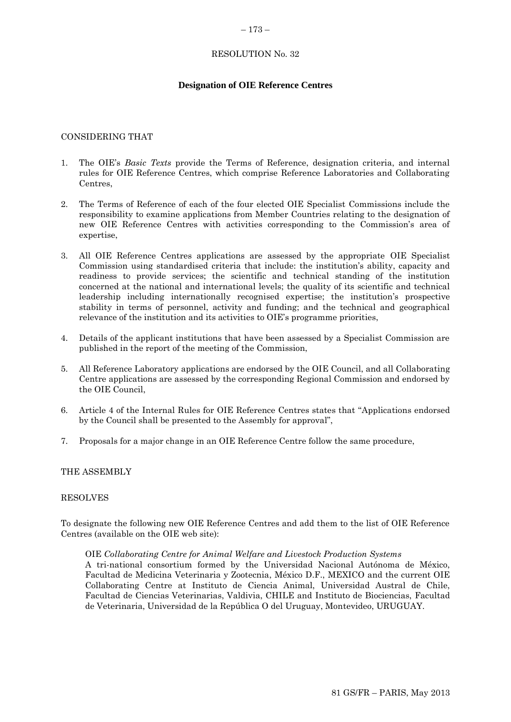#### <span id="page-50-0"></span>– 173 –

# RESOLUTION No. 32

# **Designation of OIE Reference Centres**

### CONSIDERING THAT

- 1. The OIE's *Basic Texts* provide the Terms of Reference, designation criteria, and internal rules for OIE Reference Centres, which comprise Reference Laboratories and Collaborating Centres,
- 2. The Terms of Reference of each of the four elected OIE Specialist Commissions include the responsibility to examine applications from Member Countries relating to the designation of new OIE Reference Centres with activities corresponding to the Commission's area of expertise,
- 3. All OIE Reference Centres applications are assessed by the appropriate OIE Specialist Commission using standardised criteria that include: the institution's ability, capacity and readiness to provide services; the scientific and technical standing of the institution concerned at the national and international levels; the quality of its scientific and technical leadership including internationally recognised expertise; the institution's prospective stability in terms of personnel, activity and funding; and the technical and geographical relevance of the institution and its activities to OIE's programme priorities,
- 4. Details of the applicant institutions that have been assessed by a Specialist Commission are published in the report of the meeting of the Commission,
- 5. All Reference Laboratory applications are endorsed by the OIE Council, and all Collaborating Centre applications are assessed by the corresponding Regional Commission and endorsed by the OIE Council,
- 6. Article 4 of the Internal Rules for OIE Reference Centres states that "Applications endorsed by the Council shall be presented to the Assembly for approval",
- 7. Proposals for a major change in an OIE Reference Centre follow the same procedure,

### THE ASSEMBLY

#### RESOLVES

To designate the following new OIE Reference Centres and add them to the list of OIE Reference Centres (available on the OIE web site):

#### OIE *Collaborating Centre for Animal Welfare and Livestock Production Systems*

A tri-national consortium formed by the Universidad Nacional Autónoma de México, Facultad de Medicina Veterinaria y Zootecnia, México D.F., MEXICO and the current OIE Collaborating Centre at Instituto de Ciencia Animal, Universidad Austral de Chile, Facultad de Ciencias Veterinarias, Valdivia, CHILE and Instituto de Biociencias, Facultad de Veterinaria, Universidad de la República O del Uruguay, Montevideo, URUGUAY.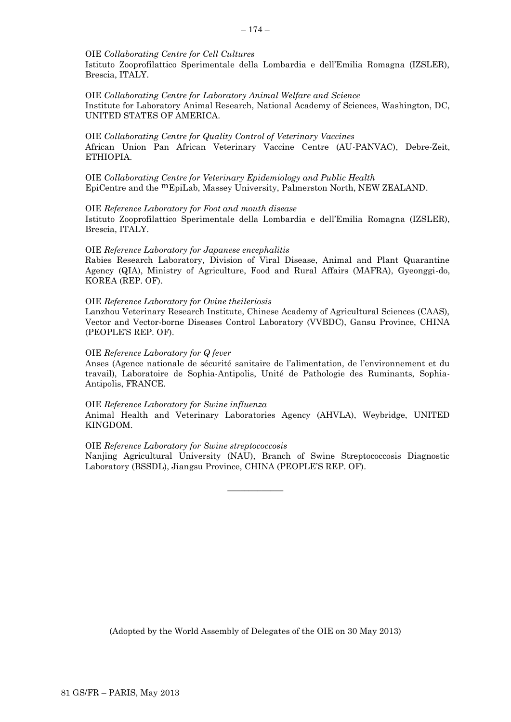#### OIE *Collaborating Centre for Cell Cultures*

Istituto Zooprofilattico Sperimentale della Lombardia e dell'Emilia Romagna (IZSLER), Brescia, ITALY.

OIE *Collaborating Centre for Laboratory Animal Welfare and Science* Institute for Laboratory Animal Research, National Academy of Sciences, Washington, DC, UNITED STATES OF AMERICA.

#### OIE *Collaborating Centre for Quality Control of Veterinary Vaccines* African Union Pan African Veterinary Vaccine Centre (AU-PANVAC), Debre-Zeit, ETHIOPIA.

OIE *Collaborating Centre for Veterinary Epidemiology and Public Health* EpiCentre and the mEpiLab, Massey University, Palmerston North, NEW ZEALAND.

### OIE *Reference Laboratory for Foot and mouth disease* Istituto Zooprofilattico Sperimentale della Lombardia e dell'Emilia Romagna (IZSLER), Brescia, ITALY.

#### OIE *Reference Laboratory for Japanese encephalitis*

Rabies Research Laboratory, Division of Viral Disease, Animal and Plant Quarantine Agency (QIA), Ministry of Agriculture, Food and Rural Affairs (MAFRA), Gyeonggi-do, KOREA (REP. OF).

#### OIE *Reference Laboratory for Ovine theileriosis*

Lanzhou Veterinary Research Institute, Chinese Academy of Agricultural Sciences (CAAS), Vector and Vector-borne Diseases Control Laboratory (VVBDC), Gansu Province, CHINA (PEOPLE'S REP. OF).

#### OIE *Reference Laboratory for Q fever*

Anses (Agence nationale de sécurité sanitaire de l'alimentation, de l'environnement et du travail), Laboratoire de Sophia-Antipolis, Unité de Pathologie des Ruminants, Sophia-Antipolis, FRANCE.

### OIE *Reference Laboratory for Swine influenza*

Animal Health and Veterinary Laboratories Agency (AHVLA), Weybridge, UNITED KINGDOM.

### OIE *Reference Laboratory for Swine streptococcosis*

Nanjing Agricultural University (NAU), Branch of Swine Streptococcosis Diagnostic Laboratory (BSSDL), Jiangsu Province, CHINA (PEOPLE'S REP. OF).

 $\overline{\phantom{a}}$  ,  $\overline{\phantom{a}}$  ,  $\overline{\phantom{a}}$  ,  $\overline{\phantom{a}}$  ,  $\overline{\phantom{a}}$  ,  $\overline{\phantom{a}}$  ,  $\overline{\phantom{a}}$  ,  $\overline{\phantom{a}}$  ,  $\overline{\phantom{a}}$  ,  $\overline{\phantom{a}}$  ,  $\overline{\phantom{a}}$  ,  $\overline{\phantom{a}}$  ,  $\overline{\phantom{a}}$  ,  $\overline{\phantom{a}}$  ,  $\overline{\phantom{a}}$  ,  $\overline{\phantom{a}}$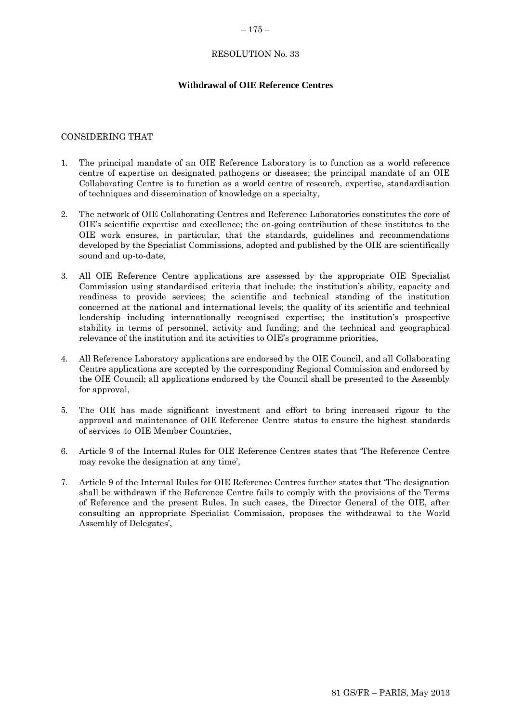#### <span id="page-52-0"></span> $-175-$

# RESOLUTION No. 33

# **Withdrawal of OIE Reference Centres**

### CONSIDERING THAT

- 1. The principal mandate of an OIE Reference Laboratory is to function as a world reference centre of expertise on designated pathogens or diseases; the principal mandate of an OIE Collaborating Centre is to function as a world centre of research, expertise, standardisation of techniques and dissemination of knowledge on a specialty,
- 2. The network of OIE Collaborating Centres and Reference Laboratories constitutes the core of OIE's scientific expertise and excellence; the on-going contribution of these institutes to the OIE work ensures, in particular, that the standards, guidelines and recommendations developed by the Specialist Commissions, adopted and published by the OIE are scientifically sound and up-to-date,
- 3. All OIE Reference Centre applications are assessed by the appropriate OIE Specialist Commission using standardised criteria that include: the institution's ability, capacity and readiness to provide services; the scientific and technical standing of the institution concerned at the national and international levels; the quality of its scientific and technical leadership including internationally recognised expertise; the institution's prospective stability in terms of personnel, activity and funding; and the technical and geographical relevance of the institution and its activities to OIE's programme priorities,
- 4. All Reference Laboratory applications are endorsed by the OIE Council, and all Collaborating Centre applications are accepted by the corresponding Regional Commission and endorsed by the OIE Council; all applications endorsed by the Council shall be presented to the Assembly for approval,
- 5. The OIE has made significant investment and effort to bring increased rigour to the approval and maintenance of OIE Reference Centre status to ensure the highest standards of services to OIE Member Countries,
- 6. Article 9 of the Internal Rules for OIE Reference Centres states that 'The Reference Centre may revoke the designation at any time',
- 7. Article 9 of the Internal Rules for OIE Reference Centres further states that 'The designation shall be withdrawn if the Reference Centre fails to comply with the provisions of the Terms of Reference and the present Rules. In such cases, the Director General of the OIE, after consulting an appropriate Specialist Commission, proposes the withdrawal to the World Assembly of Delegates',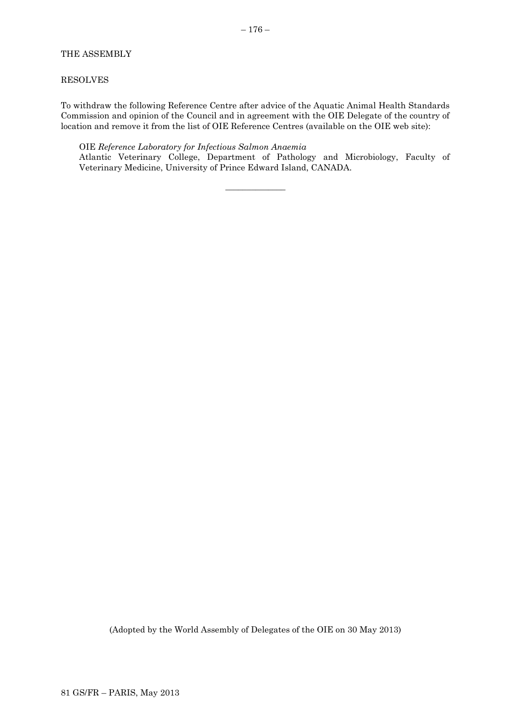# THE ASSEMBLY

#### RESOLVES

To withdraw the following Reference Centre after advice of the Aquatic Animal Health Standards Commission and opinion of the Council and in agreement with the OIE Delegate of the country of location and remove it from the list of OIE Reference Centres (available on the OIE web site):

 $\overline{\phantom{a}}$  , where  $\overline{\phantom{a}}$ 

#### OIE *Reference Laboratory for Infectious Salmon Anaemia*

Atlantic Veterinary College, Department of Pathology and Microbiology, Faculty of Veterinary Medicine, University of Prince Edward Island, CANADA.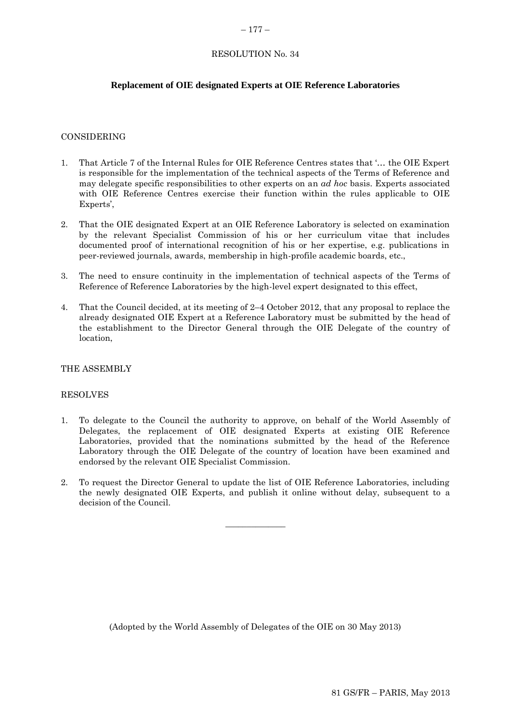#### <span id="page-54-0"></span> $-177-$

# RESOLUTION No. 34

# **Replacement of OIE designated Experts at OIE Reference Laboratories**

#### CONSIDERING

- 1. That Article 7 of the Internal Rules for OIE Reference Centres states that '… the OIE Expert is responsible for the implementation of the technical aspects of the Terms of Reference and may delegate specific responsibilities to other experts on an *ad hoc* basis. Experts associated with OIE Reference Centres exercise their function within the rules applicable to OIE Experts'.
- 2. That the OIE designated Expert at an OIE Reference Laboratory is selected on examination by the relevant Specialist Commission of his or her curriculum vitae that includes documented proof of international recognition of his or her expertise, e.g. publications in peer-reviewed journals, awards, membership in high-profile academic boards, etc.,
- 3. The need to ensure continuity in the implementation of technical aspects of the Terms of Reference of Reference Laboratories by the high-level expert designated to this effect,
- 4. That the Council decided, at its meeting of 2–4 October 2012, that any proposal to replace the already designated OIE Expert at a Reference Laboratory must be submitted by the head of the establishment to the Director General through the OIE Delegate of the country of location,

### THE ASSEMBLY

### RESOLVES

- 1. To delegate to the Council the authority to approve, on behalf of the World Assembly of Delegates, the replacement of OIE designated Experts at existing OIE Reference Laboratories, provided that the nominations submitted by the head of the Reference Laboratory through the OIE Delegate of the country of location have been examined and endorsed by the relevant OIE Specialist Commission.
- 2. To request the Director General to update the list of OIE Reference Laboratories, including the newly designated OIE Experts, and publish it online without delay, subsequent to a decision of the Council.

 $\overline{\phantom{a}}$  , where  $\overline{\phantom{a}}$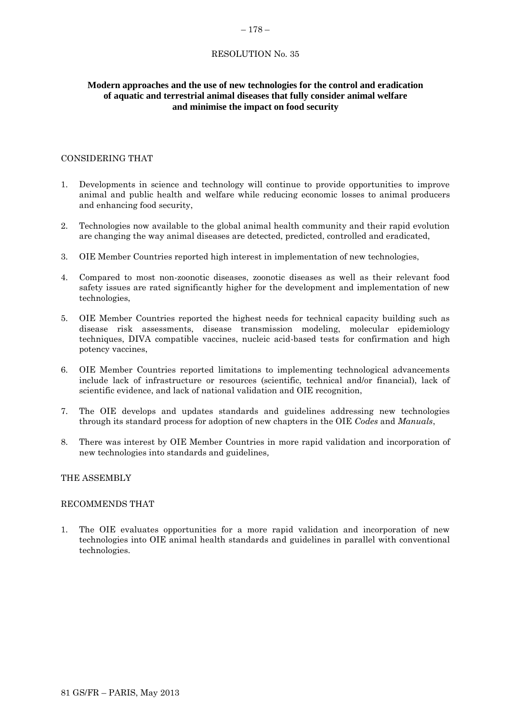#### <span id="page-55-0"></span> $-178-$

# RESOLUTION No. 35

# **Modern approaches and the use of new technologies for the control and eradication of aquatic and terrestrial animal diseases that fully consider animal welfare and minimise the impact on food security**

### CONSIDERING THAT

- 1. Developments in science and technology will continue to provide opportunities to improve animal and public health and welfare while reducing economic losses to animal producers and enhancing food security,
- 2. Technologies now available to the global animal health community and their rapid evolution are changing the way animal diseases are detected, predicted, controlled and eradicated,
- 3. OIE Member Countries reported high interest in implementation of new technologies,
- 4. Compared to most non-zoonotic diseases, zoonotic diseases as well as their relevant food safety issues are rated significantly higher for the development and implementation of new technologies,
- 5. OIE Member Countries reported the highest needs for technical capacity building such as disease risk assessments, disease transmission modeling, molecular epidemiology techniques, DIVA compatible vaccines, nucleic acid-based tests for confirmation and high potency vaccines,
- 6. OIE Member Countries reported limitations to implementing technological advancements include lack of infrastructure or resources (scientific, technical and/or financial), lack of scientific evidence, and lack of national validation and OIE recognition,
- 7. The OIE develops and updates standards and guidelines addressing new technologies through its standard process for adoption of new chapters in the OIE *Codes* and *Manuals*,
- 8. There was interest by OIE Member Countries in more rapid validation and incorporation of new technologies into standards and guidelines*,*

### THE ASSEMBLY

### RECOMMENDS THAT

1. The OIE evaluates opportunities for a more rapid validation and incorporation of new technologies into OIE animal health standards and guidelines in parallel with conventional technologies.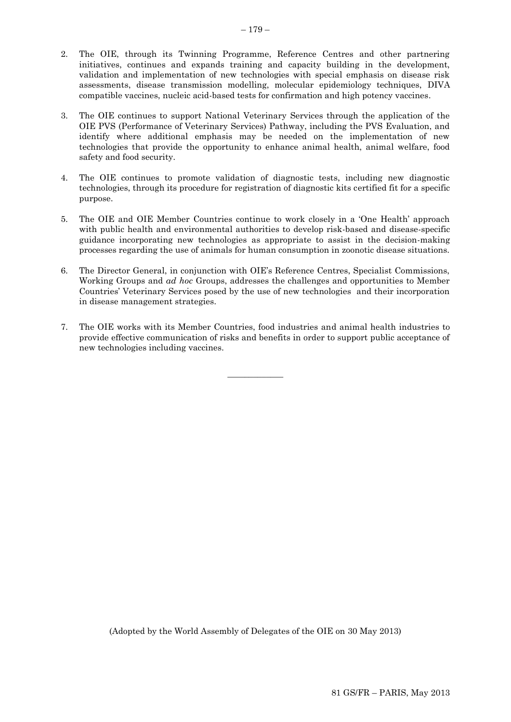- 2. The OIE, through its Twinning Programme, Reference Centres and other partnering initiatives, continues and expands training and capacity building in the development, validation and implementation of new technologies with special emphasis on disease risk assessments, disease transmission modelling, molecular epidemiology techniques, DIVA compatible vaccines, nucleic acid-based tests for confirmation and high potency vaccines.
- 3. The OIE continues to support National Veterinary Services through the application of the OIE PVS (Performance of Veterinary Services) Pathway, including the PVS Evaluation, and identify where additional emphasis may be needed on the implementation of new technologies that provide the opportunity to enhance animal health, animal welfare, food safety and food security.
- 4. The OIE continues to promote validation of diagnostic tests, including new diagnostic technologies, through its procedure for registration of diagnostic kits certified fit for a specific purpose.
- 5. The OIE and OIE Member Countries continue to work closely in a 'One Health' approach with public health and environmental authorities to develop risk-based and disease-specific guidance incorporating new technologies as appropriate to assist in the decision-making processes regarding the use of animals for human consumption in zoonotic disease situations.
- 6. The Director General, in conjunction with OIE's Reference Centres, Specialist Commissions, Working Groups and *ad hoc* Groups, addresses the challenges and opportunities to Member Countries' Veterinary Services posed by the use of new technologies and their incorporation in disease management strategies.
- 7. The OIE works with its Member Countries, food industries and animal health industries to provide effective communication of risks and benefits in order to support public acceptance of new technologies including vaccines.

 $\overline{\phantom{a}}$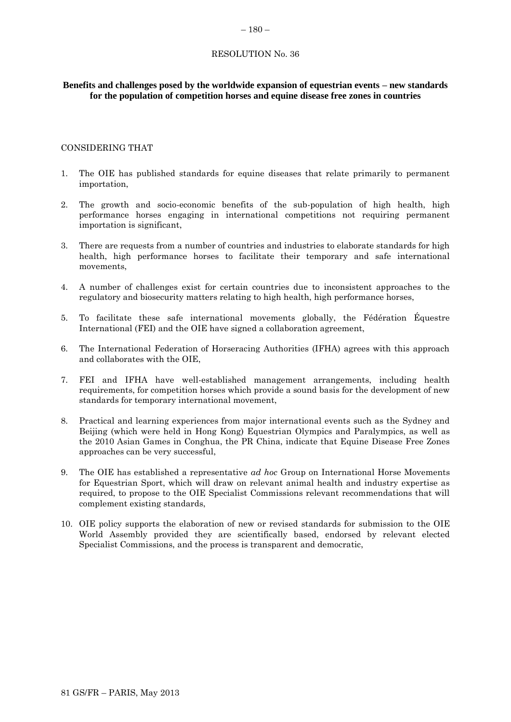# <span id="page-57-0"></span>RESOLUTION No. 36

# **Benefits and challenges posed by the worldwide expansion of equestrian events – new standards for the population of competition horses and equine disease free zones in countries**

# CONSIDERING THAT

- 1. The OIE has published standards for equine diseases that relate primarily to permanent importation,
- 2. The growth and socio-economic benefits of the sub-population of high health, high performance horses engaging in international competitions not requiring permanent importation is significant,
- 3. There are requests from a number of countries and industries to elaborate standards for high health, high performance horses to facilitate their temporary and safe international movements,
- 4. A number of challenges exist for certain countries due to inconsistent approaches to the regulatory and biosecurity matters relating to high health, high performance horses,
- 5. To facilitate these safe international movements globally, the Fédération Équestre International (FEI) and the OIE have signed a collaboration agreement,
- 6. The International Federation of Horseracing Authorities (IFHA) agrees with this approach and collaborates with the OIE,
- 7. FEI and IFHA have well-established management arrangements, including health requirements, for competition horses which provide a sound basis for the development of new standards for temporary international movement,
- 8. Practical and learning experiences from major international events such as the Sydney and Beijing (which were held in Hong Kong) Equestrian Olympics and Paralympics, as well as the 2010 Asian Games in Conghua, the PR China, indicate that Equine Disease Free Zones approaches can be very successful,
- 9. The OIE has established a representative *ad hoc* Group on International Horse Movements for Equestrian Sport, which will draw on relevant animal health and industry expertise as required, to propose to the OIE Specialist Commissions relevant recommendations that will complement existing standards,
- 10. OIE policy supports the elaboration of new or revised standards for submission to the OIE World Assembly provided they are scientifically based, endorsed by relevant elected Specialist Commissions, and the process is transparent and democratic,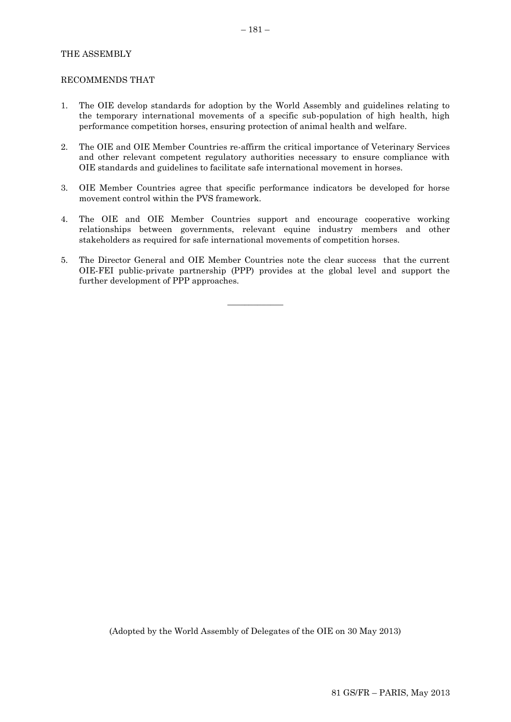# THE ASSEMBLY

#### RECOMMENDS THAT

- 1. The OIE develop standards for adoption by the World Assembly and guidelines relating to the temporary international movements of a specific sub-population of high health, high performance competition horses, ensuring protection of animal health and welfare.
- 2. The OIE and OIE Member Countries re-affirm the critical importance of Veterinary Services and other relevant competent regulatory authorities necessary to ensure compliance with OIE standards and guidelines to facilitate safe international movement in horses.
- 3. OIE Member Countries agree that specific performance indicators be developed for horse movement control within the PVS framework.
- 4. The OIE and OIE Member Countries support and encourage cooperative working relationships between governments, relevant equine industry members and other stakeholders as required for safe international movements of competition horses.
- 5. The Director General and OIE Member Countries note the clear success that the current OIE-FEI public-private partnership (PPP) provides at the global level and support the further development of PPP approaches.

 $\overline{\phantom{a}}$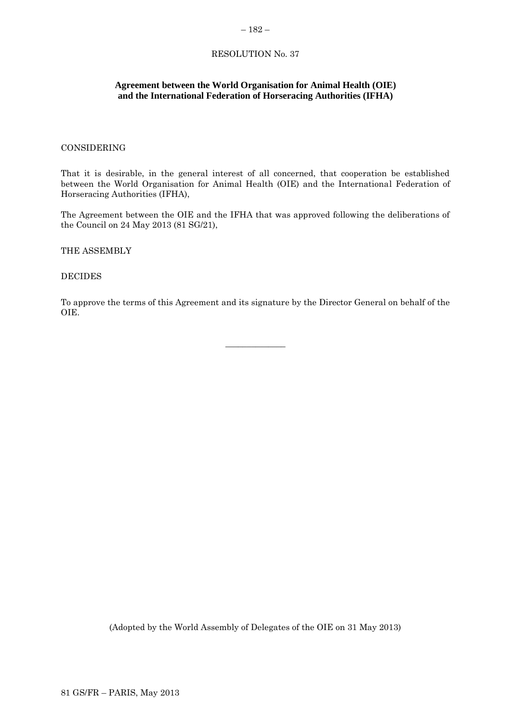# <span id="page-59-0"></span>RESOLUTION No. 37

# **Agreement between the World Organisation for Animal Health (OIE) and the International Federation of Horseracing Authorities (IFHA)**

# CONSIDERING

That it is desirable, in the general interest of all concerned, that cooperation be established between the World Organisation for Animal Health (OIE) and the International Federation of Horseracing Authorities (IFHA),

The Agreement between the OIE and the IFHA that was approved following the deliberations of the Council on 24 May 2013 (81 SG/21),

THE ASSEMBLY

DECIDES

To approve the terms of this Agreement and its signature by the Director General on behalf of the OIE.

 $\overline{\phantom{a}}$  , where  $\overline{\phantom{a}}$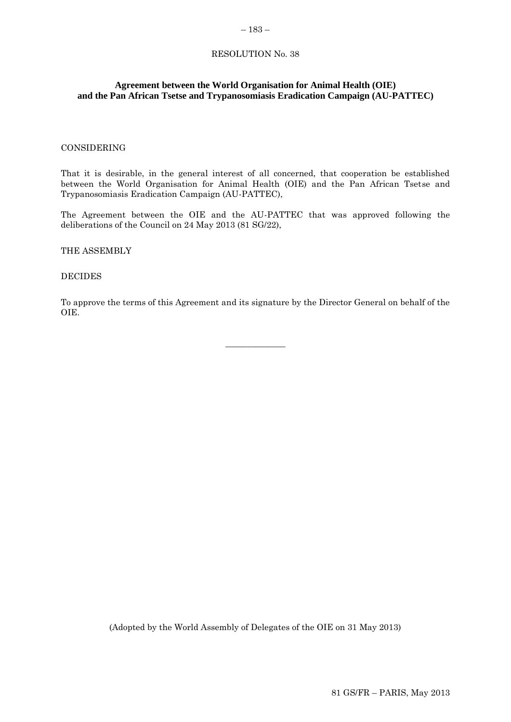#### <span id="page-60-0"></span>– 183 –

# RESOLUTION No. 38

# **Agreement between the World Organisation for Animal Health (OIE) and the Pan African Tsetse and Trypanosomiasis Eradication Campaign (AU-PATTEC)**

### CONSIDERING

That it is desirable, in the general interest of all concerned, that cooperation be established between the World Organisation for Animal Health (OIE) and the Pan African Tsetse and Trypanosomiasis Eradication Campaign (AU-PATTEC),

The Agreement between the OIE and the AU-PATTEC that was approved following the deliberations of the Council on 24 May 2013 (81 SG/22),

THE ASSEMBLY

### DECIDES

To approve the terms of this Agreement and its signature by the Director General on behalf of the OIE.

 $\overline{\phantom{a}}$  , where  $\overline{\phantom{a}}$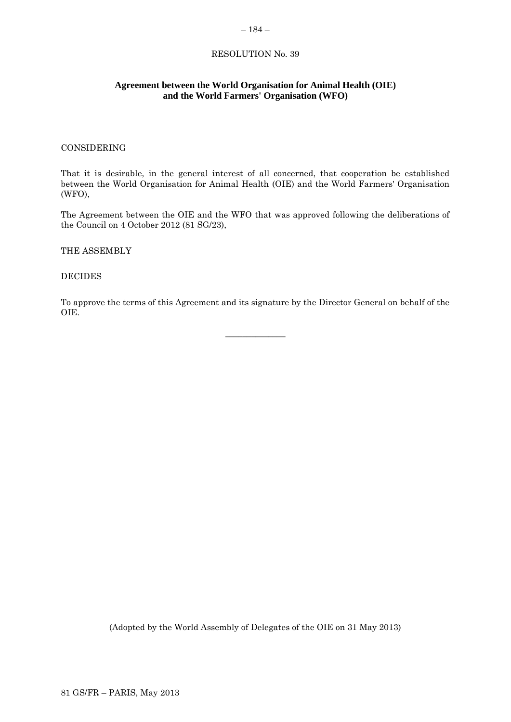## <span id="page-61-0"></span>– 184 –

# RESOLUTION No. 39

# **Agreement between the World Organisation for Animal Health (OIE) and the World Farmers' Organisation (WFO)**

# CONSIDERING

That it is desirable, in the general interest of all concerned, that cooperation be established between the World Organisation for Animal Health (OIE) and the World Farmers' Organisation (WFO),

The Agreement between the OIE and the WFO that was approved following the deliberations of the Council on 4 October 2012 (81 SG/23),

THE ASSEMBLY

DECIDES

To approve the terms of this Agreement and its signature by the Director General on behalf of the OIE.

 $\overline{\phantom{a}}$  , where  $\overline{\phantom{a}}$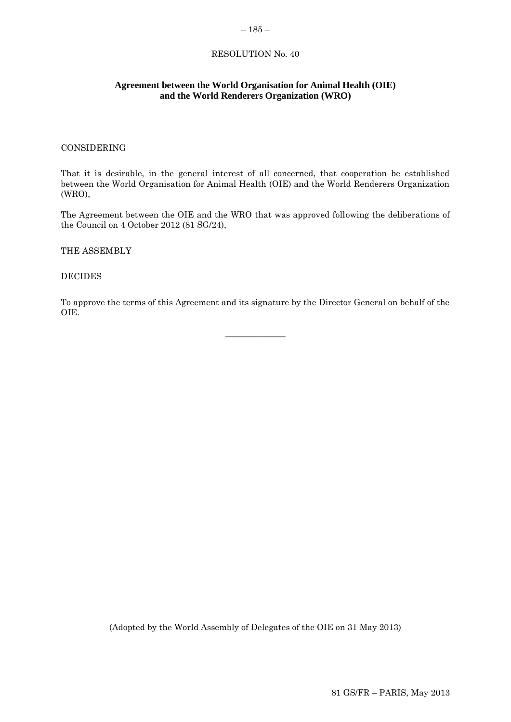### <span id="page-62-0"></span>– 185 –

# RESOLUTION No. 40

# **Agreement between the World Organisation for Animal Health (OIE) and the World Renderers Organization (WRO)**

# CONSIDERING

That it is desirable, in the general interest of all concerned, that cooperation be established between the World Organisation for Animal Health (OIE) and the World Renderers Organization (WRO),

The Agreement between the OIE and the WRO that was approved following the deliberations of the Council on 4 October 2012 (81 SG/24),

THE ASSEMBLY

DECIDES

To approve the terms of this Agreement and its signature by the Director General on behalf of the OIE.

 $\overline{\phantom{a}}$  , where  $\overline{\phantom{a}}$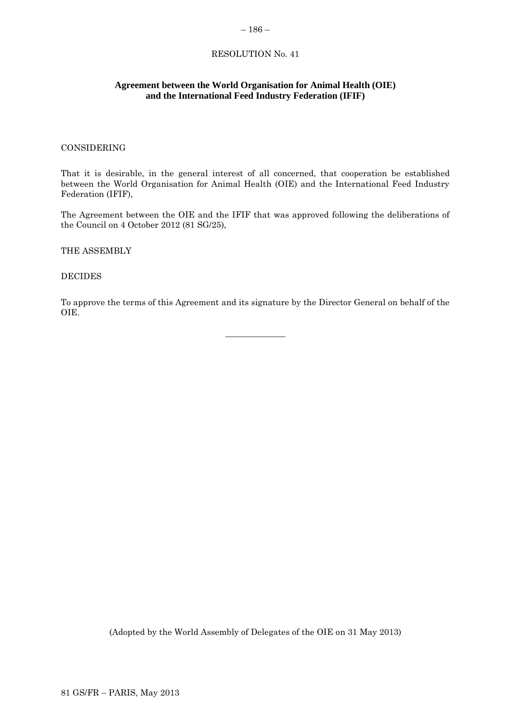#### <span id="page-63-0"></span>– 186 –

# RESOLUTION No. 41

# **Agreement between the World Organisation for Animal Health (OIE) and the International Feed Industry Federation (IFIF)**

# CONSIDERING

That it is desirable, in the general interest of all concerned, that cooperation be established between the World Organisation for Animal Health (OIE) and the International Feed Industry Federation (IFIF),

The Agreement between the OIE and the IFIF that was approved following the deliberations of the Council on 4 October 2012 (81 SG/25),

THE ASSEMBLY

DECIDES

To approve the terms of this Agreement and its signature by the Director General on behalf of the OIE.

 $\overline{\phantom{a}}$  , where  $\overline{\phantom{a}}$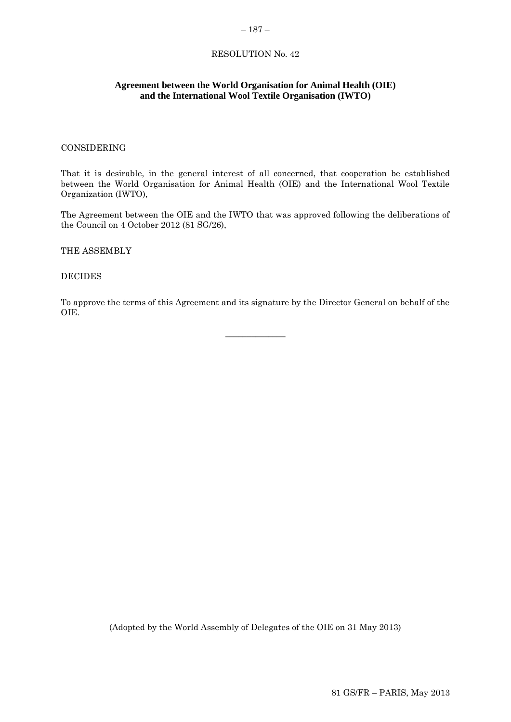#### <span id="page-64-0"></span>– 187 –

# RESOLUTION No. 42

# **Agreement between the World Organisation for Animal Health (OIE) and the International Wool Textile Organisation (IWTO)**

# CONSIDERING

That it is desirable, in the general interest of all concerned, that cooperation be established between the World Organisation for Animal Health (OIE) and the International Wool Textile Organization (IWTO),

The Agreement between the OIE and the IWTO that was approved following the deliberations of the Council on 4 October 2012 (81 SG/26),

THE ASSEMBLY

DECIDES

To approve the terms of this Agreement and its signature by the Director General on behalf of the OIE.

 $\overline{\phantom{a}}$  , where  $\overline{\phantom{a}}$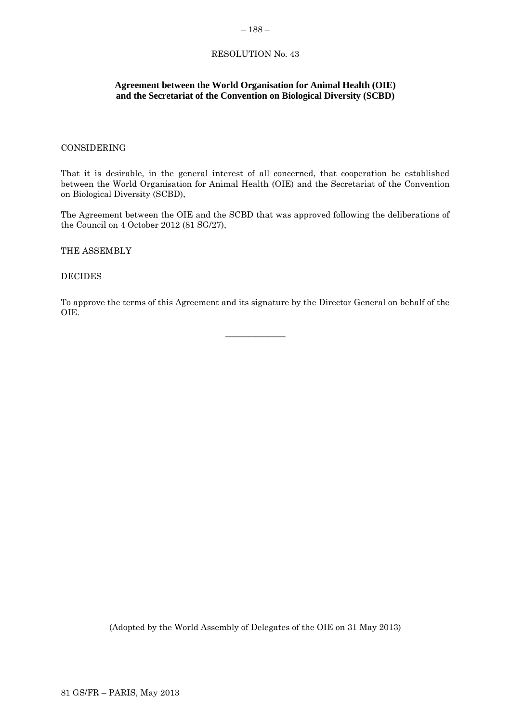# <span id="page-65-0"></span>RESOLUTION No. 43

# **Agreement between the World Organisation for Animal Health (OIE) and the Secretariat of the Convention on Biological Diversity (SCBD)**

# CONSIDERING

That it is desirable, in the general interest of all concerned, that cooperation be established between the World Organisation for Animal Health (OIE) and the Secretariat of the Convention on Biological Diversity (SCBD),

The Agreement between the OIE and the SCBD that was approved following the deliberations of the Council on 4 October 2012 (81 SG/27),

THE ASSEMBLY

DECIDES

To approve the terms of this Agreement and its signature by the Director General on behalf of the OIE.

 $\overline{\phantom{a}}$  , where  $\overline{\phantom{a}}$